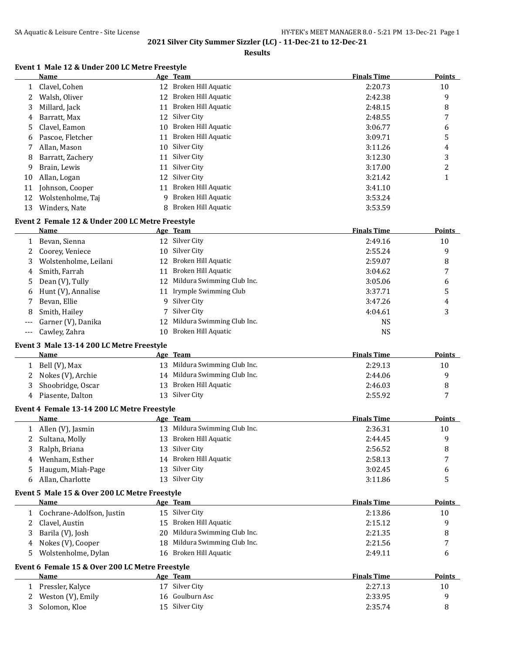### **Results**

# **Event 1 Male 12 & Under 200 LC Metre Freestyle**

|    | Name              |     | Age Team               | <b>Finals Time</b> | <b>Points</b> |
|----|-------------------|-----|------------------------|--------------------|---------------|
|    | Clavel, Cohen     |     | 12 Broken Hill Aquatic | 2:20.73            | 10            |
|    | Walsh, Oliver     | 12  | Broken Hill Aquatic    | 2:42.38            | 9             |
|    | Millard, Jack     | 11  | Broken Hill Aquatic    | 2:48.15            | 8             |
| 4  | Barratt, Max      |     | 12 Silver City         | 2:48.55            | 7             |
| 5. | Clavel, Eamon     | 10. | Broken Hill Aquatic    | 3:06.77            | 6             |
| 6  | Pascoe, Fletcher  | 11  | Broken Hill Aquatic    | 3:09.71            | 5             |
|    | Allan, Mason      | 10  | Silver City            | 3:11.26            | 4             |
| 8  | Barratt, Zachery  | 11  | Silver City            | 3:12.30            | 3             |
| 9  | Brain, Lewis      | 11  | Silver City            | 3:17.00            | 2             |
| 10 | Allan, Logan      |     | 12 Silver City         | 3:21.42            |               |
| 11 | Johnson, Cooper   | 11  | Broken Hill Aquatic    | 3:41.10            |               |
| 12 | Wolstenholme, Taj | 9   | Broken Hill Aquatic    | 3:53.24            |               |
| 13 | Winders, Nate     |     | 8 Broken Hill Aquatic  | 3:53.59            |               |

## **Event 2 Female 12 & Under 200 LC Metre Freestyle**

|       | Name                  |     | Age Team                      | <b>Finals Time</b> | Points |
|-------|-----------------------|-----|-------------------------------|--------------------|--------|
|       | Bevan, Sienna         |     | 12 Silver City                | 2:49.16            | 10     |
|       | 2 Coorey, Veniece     |     | 10 Silver City                | 2:55.24            | 9      |
| 3.    | Wolstenholme, Leilani |     | 12 Broken Hill Aquatic        | 2:59.07            | 8      |
| 4     | Smith, Farrah         | 11  | Broken Hill Aquatic           | 3:04.62            |        |
| 5.    | Dean (V), Tully       |     | 12 Mildura Swimming Club Inc. | 3:05.06            | 6      |
| 6     | Hunt (V), Annalise    |     | 11 Irymple Swimming Club      | 3:37.71            | 5      |
|       | Bevan, Ellie          |     | 9 Silver City                 | 3:47.26            | 4      |
| 8     | Smith, Hailey         |     | 7 Silver City                 | 4:04.61            | 3      |
| $---$ | Garner (V), Danika    |     | 12 Mildura Swimming Club Inc. | NS.                |        |
| ---   | Cawley, Zahra         | 10. | Broken Hill Aquatic           | NS                 |        |

### **Event 3 Male 13-14 200 LC Metre Freestyle**

|   | <b>Name</b>         | Age | Team                          | <b>Finals Time</b> | <b>Points</b> |
|---|---------------------|-----|-------------------------------|--------------------|---------------|
|   | Bell (V), Max       |     | 13 Mildura Swimming Club Inc. | 2:29.13            | 10            |
|   | 2 Nokes (V), Archie |     | 14 Mildura Swimming Club Inc. | 2:44.06            |               |
|   | Shoobridge, Oscar   |     | 13 Broken Hill Aquatic        | 2:46.03            |               |
| 4 | Piasente, Dalton    |     | 13 Silver City                | 2:55.92            | -             |

### **Event 4 Female 13-14 200 LC Metre Freestyle**

|              | Name              | Age Team                      | <b>Finals Time</b> | <b>Points</b> |
|--------------|-------------------|-------------------------------|--------------------|---------------|
|              | Allen (V), Jasmin | 13 Mildura Swimming Club Inc. | 2:36.31            | 10            |
|              | 2 Sultana, Molly  | 13 Broken Hill Aquatic        | 2:44.45            | a             |
| 3            | Ralph, Briana     | 13 Silver City                | 2:56.52            |               |
| 4            | Wenham, Esther    | 14 Broken Hill Aquatic        | 2:58.13            | -             |
| 5.           | Haugum, Miah-Page | 13 Silver City                | 3:02.45            | h             |
| <sub>b</sub> | Allan, Charlotte  | 13 Silver City                | 3:11.86            |               |

#### **Event 5 Male 15 & Over 200 LC Metre Freestyle**

|    | Name                                            |    | Age Team                      | <b>Finals Time</b> | Points |
|----|-------------------------------------------------|----|-------------------------------|--------------------|--------|
|    | Cochrane-Adolfson, Justin                       |    | 15 Silver City                | 2:13.86            | 10     |
|    | Clavel, Austin                                  |    | 15 Broken Hill Aquatic        | 2:15.12            | 9      |
| 3  | Barila (V), Josh                                | 20 | Mildura Swimming Club Inc.    | 2:21.35            | 8      |
| 4  | Nokes (V), Cooper                               |    | 18 Mildura Swimming Club Inc. | 2:21.56            |        |
| 5. | Wolstenholme, Dylan                             |    | 16 Broken Hill Aquatic        | 2:49.11            | 6      |
|    | Event 6 Female 15 & Over 200 LC Metre Freestyle |    |                               |                    |        |
|    | <b>Name</b>                                     |    | Age Team                      | <b>Finals Time</b> | Points |
|    | Pressler, Kalyce                                | 17 | Silver City                   | 2:27.13            | 10     |
|    | Weston (V), Emily                               |    | 16 Goulburn Asc               | 2:33.95            | 9      |

3 Solomon, Kloe 15 Silver City 2:35.74 8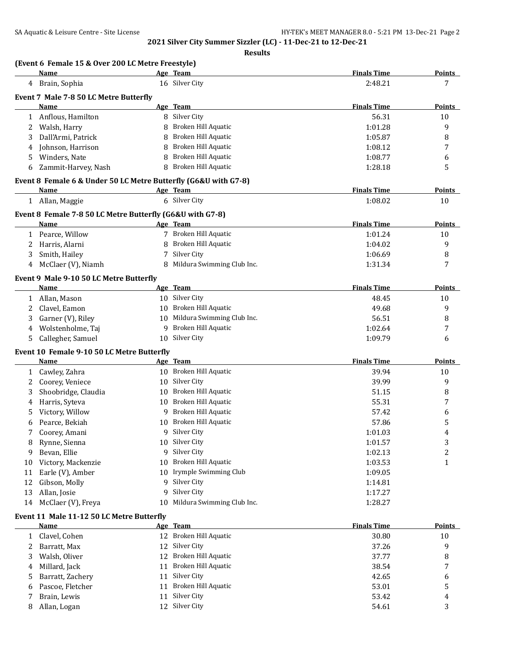**Results**

|        | Name                                                            |    | Age Team                   | <b>Finals Time</b> | <b>Points</b>  |
|--------|-----------------------------------------------------------------|----|----------------------------|--------------------|----------------|
|        | 4 Brain, Sophia                                                 |    | 16 Silver City             | 2:48.21            | 7              |
|        | Event 7 Male 7-8 50 LC Metre Butterfly                          |    |                            |                    |                |
|        | Name                                                            |    | Age Team                   | <b>Finals Time</b> | <b>Points</b>  |
| 1      | Anflous, Hamilton                                               |    | 8 Silver City              | 56.31              | 10             |
| 2      | Walsh, Harry                                                    |    | Broken Hill Aquatic        | 1:01.28            | 9              |
| 3      | Dall'Armi, Patrick                                              | 8  | Broken Hill Aquatic        | 1:05.87            | 8              |
| 4      | Johnson, Harrison                                               | 8  | <b>Broken Hill Aquatic</b> | 1:08.12            | 7              |
| 5      | Winders, Nate                                                   | 8  | <b>Broken Hill Aquatic</b> | 1:08.77            | 6              |
| 6      | Zammit-Harvey, Nash                                             | 8  | Broken Hill Aquatic        | 1:28.18            | 5              |
|        | Event 8 Female 6 & Under 50 LC Metre Butterfly (G6&U with G7-8) |    |                            |                    |                |
|        | Name                                                            |    | Age Team                   | <b>Finals Time</b> | <b>Points</b>  |
|        | 1 Allan, Maggie                                                 |    | 6 Silver City              | 1:08.02            | 10             |
|        | Event 8 Female 7-8 50 LC Metre Butterfly (G6&U with G7-8)       |    |                            |                    |                |
|        | Name                                                            |    | Age Team                   | <b>Finals Time</b> | Points         |
| 1      | Pearce, Willow                                                  |    | 7 Broken Hill Aquatic      | 1:01.24            | 10             |
| 2      | Harris, Alarni                                                  |    | Broken Hill Aquatic        | 1:04.02            | 9              |
| 3      | Smith, Hailey                                                   | 7  | Silver City                | 1:06.69            | 8              |
| 4      | McClaer (V), Niamh                                              | 8  | Mildura Swimming Club Inc. | 1:31.34            | 7              |
|        | Event 9 Male 9-10 50 LC Metre Butterfly                         |    |                            |                    |                |
|        | Name                                                            |    | Age Team                   | <b>Finals Time</b> | Points         |
| 1      | Allan, Mason                                                    |    | 10 Silver City             | 48.45              | 10             |
| 2      | Clavel, Eamon                                                   | 10 | Broken Hill Aquatic        | 49.68              | 9              |
| 3      | Garner (V), Riley                                               | 10 | Mildura Swimming Club Inc. | 56.51              | 8              |
| 4      | Wolstenholme, Taj                                               | 9  | Broken Hill Aquatic        | 1:02.64            | 7              |
| 5      | Callegher, Samuel                                               | 10 | Silver City                | 1:09.79            | 6              |
|        | Event 10 Female 9-10 50 LC Metre Butterfly                      |    |                            |                    |                |
|        | <b>Name</b>                                                     |    | Age Team                   | <b>Finals Time</b> | Points         |
| 1      | Cawley, Zahra                                                   |    | 10 Broken Hill Aquatic     | 39.94              | 10             |
| 2      | Coorey, Veniece                                                 | 10 | Silver City                | 39.99              | 9              |
| 3      | Shoobridge, Claudia                                             | 10 | Broken Hill Aquatic        | 51.15              | 8              |
| 4      | Harris, Syteva                                                  | 10 | Broken Hill Aquatic        | 55.31              | 7              |
| 5      | Victory, Willow                                                 | 9  | Broken Hill Aquatic        | 57.42              | 6              |
| 6      | Pearce, Bekiah                                                  |    | 10 Broken Hill Aquatic     | 57.86              | 5              |
| 7      | Coorey, Amani                                                   |    | 9 Silver City              | 1:01.03            | 4              |
| 8      | Rynne, Sienna                                                   | 10 | Silver City                | 1:01.57            | 3              |
| 9      | Bevan, Ellie                                                    | 9  | Silver City                | 1:02.13            | $\overline{c}$ |
| 10     | Victory, Mackenzie                                              | 10 | Broken Hill Aquatic        | 1:03.53            | $\mathbf{1}$   |
| 11     | Earle (V), Amber                                                | 10 | Irymple Swimming Club      | 1:09.05            |                |
| 12     | Gibson, Molly                                                   | 9  | Silver City                | 1:14.81            |                |
| 13     | Allan, Josie                                                    | 9  | Silver City                | 1:17.27            |                |
| 14     | McClaer (V), Freya                                              | 10 | Mildura Swimming Club Inc. | 1:28.27            |                |
|        |                                                                 |    |                            |                    |                |
|        | Event 11 Male 11-12 50 LC Metre Butterfly<br><b>Name</b>        |    | Age Team                   | <b>Finals Time</b> | <b>Points</b>  |
| 1      | Clavel, Cohen                                                   |    | 12 Broken Hill Aquatic     | 30.80              | 10             |
| 2      | Barratt, Max                                                    | 12 | Silver City                | 37.26              | 9              |
| 3      | Walsh, Oliver                                                   | 12 | Broken Hill Aquatic        | 37.77              |                |
|        | Millard, Jack                                                   | 11 | Broken Hill Aquatic        | 38.54              | 8<br>7         |
| 4<br>5 | Barratt, Zachery                                                |    | 11 Silver City             | 42.65              | 6              |
| 6      | Pascoe, Fletcher                                                | 11 | Broken Hill Aquatic        | 53.01              | 5              |
|        |                                                                 |    |                            |                    |                |
| 7      | Brain, Lewis                                                    |    | 11 Silver City             | 53.42              | 4              |

8 Allan, Logan 12 Silver City 54.61 54.61 3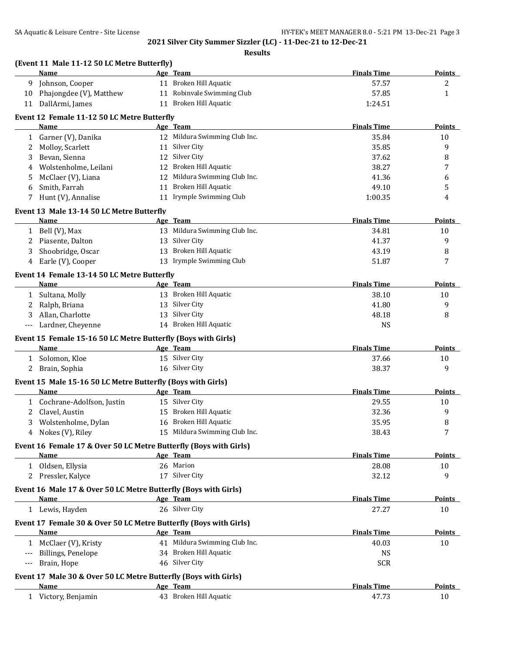|                      | (Event 11 Male 11-12 50 LC Metre Butterfly)<br>Name                          | Age Team                      | <b>Finals Time</b> | Points        |
|----------------------|------------------------------------------------------------------------------|-------------------------------|--------------------|---------------|
| 9                    | Johnson, Cooper                                                              | 11 Broken Hill Aquatic        | 57.57              | 2             |
| 10                   | Phajongdee (V), Matthew                                                      | 11 Robinvale Swimming Club    | 57.85              | $\mathbf{1}$  |
| 11                   | DallArmi, James                                                              | 11 Broken Hill Aquatic        | 1:24.51            |               |
|                      | Event 12 Female 11-12 50 LC Metre Butterfly                                  |                               |                    |               |
|                      | Name                                                                         | Age Team                      | <b>Finals Time</b> | <b>Points</b> |
|                      | 1 Garner (V), Danika                                                         | 12 Mildura Swimming Club Inc. | 35.84              | 10            |
| 2                    | Molloy, Scarlett                                                             | 11 Silver City                | 35.85              | 9             |
| 3                    | Bevan, Sienna                                                                | 12 Silver City                | 37.62              | 8             |
| 4                    | Wolstenholme, Leilani                                                        | 12 Broken Hill Aquatic        | 38.27              | 7             |
| 5                    | McClaer (V), Liana                                                           | 12 Mildura Swimming Club Inc. | 41.36              | 6             |
| 6                    | Smith, Farrah                                                                | 11 Broken Hill Aquatic        | 49.10              | 5             |
| 7                    | Hunt (V), Annalise                                                           | 11 Irymple Swimming Club      | 1:00.35            | 4             |
|                      | Event 13 Male 13-14 50 LC Metre Butterfly                                    |                               |                    |               |
|                      | Name                                                                         | Age Team                      | <b>Finals Time</b> | Points        |
|                      | 1 Bell (V), Max                                                              | 13 Mildura Swimming Club Inc. | 34.81              | 10            |
| 2                    | Piasente, Dalton                                                             | 13 Silver City                | 41.37              | 9             |
| 3                    | Shoobridge, Oscar                                                            | 13 Broken Hill Aquatic        | 43.19              | 8             |
|                      | 4 Earle (V), Cooper                                                          | 13 Irymple Swimming Club      | 51.87              | 7             |
|                      | Event 14 Female 13-14 50 LC Metre Butterfly                                  |                               |                    |               |
|                      | Name                                                                         | Age Team                      | <b>Finals Time</b> | <b>Points</b> |
|                      | 1 Sultana, Molly                                                             | 13 Broken Hill Aquatic        | 38.10              | 10            |
| 2                    | Ralph, Briana                                                                | 13 Silver City                | 41.80              | 9             |
| 3                    | Allan, Charlotte                                                             | 13 Silver City                | 48.18              | 8             |
| $\scriptstyle\cdots$ | Lardner, Cheyenne                                                            | 14 Broken Hill Aquatic        | <b>NS</b>          |               |
|                      |                                                                              |                               |                    |               |
|                      | Event 15 Female 15-16 50 LC Metre Butterfly (Boys with Girls)<br><b>Name</b> | Age Team                      | <b>Finals Time</b> | <b>Points</b> |
|                      | 1 Solomon, Kloe                                                              | 15 Silver City                | 37.66              |               |
|                      |                                                                              | 16 Silver City                |                    | 10<br>9       |
|                      | 2 Brain, Sophia                                                              |                               | 38.37              |               |
|                      | Event 15 Male 15-16 50 LC Metre Butterfly (Boys with Girls)                  |                               |                    |               |
|                      | Name                                                                         | Age Team                      | <b>Finals Time</b> | <b>Points</b> |
|                      | 1 Cochrane-Adolfson, Justin                                                  | 15 Silver City                | 29.55              | 10            |
| 2                    | Clavel, Austin                                                               | 15 Broken Hill Aquatic        | 32.36              | 9             |
| 3                    | Wolstenholme, Dylan                                                          | 16 Broken Hill Aquatic        | 35.95              | 8             |
|                      | 4 Nokes (V), Riley                                                           | 15 Mildura Swimming Club Inc. | 38.43              | 7             |
|                      | Event 16 Female 17 & Over 50 LC Metre Butterfly (Boys with Girls)            |                               |                    |               |
|                      | Name                                                                         | Age Team                      | <b>Finals Time</b> | <b>Points</b> |
|                      | 1 Oldsen, Ellysia                                                            | 26 Marion                     | 28.08              | 10            |
|                      | 2 Pressler, Kalyce                                                           | 17 Silver City                | 32.12              | 9             |
|                      | Event 16 Male 17 & Over 50 LC Metre Butterfly (Boys with Girls)              |                               |                    |               |
|                      | Name                                                                         | Age Team                      | <b>Finals Time</b> | <b>Points</b> |
|                      | 1 Lewis, Hayden                                                              | 26 Silver City                | 27.27              | 10            |
|                      | Event 17 Female 30 & Over 50 LC Metre Butterfly (Boys with Girls)            |                               |                    |               |
|                      | Name                                                                         | Age Team                      | <b>Finals Time</b> | <b>Points</b> |
|                      | 1 McClaer (V), Kristy                                                        | 41 Mildura Swimming Club Inc. | 40.03              | 10            |
|                      | Billings, Penelope                                                           | 34 Broken Hill Aquatic        | <b>NS</b>          |               |
| $-\, -\, -$          | Brain, Hope                                                                  | 46 Silver City                | <b>SCR</b>         |               |
|                      |                                                                              |                               |                    |               |
|                      | Event 17 Male 30 & Over 50 LC Metre Butterfly (Boys with Girls)              |                               |                    |               |
|                      | Name                                                                         | Age Team                      | <b>Finals Time</b> | <b>Points</b> |
|                      | 1 Victory, Benjamin                                                          | 43 Broken Hill Aquatic        | 47.73              | 10            |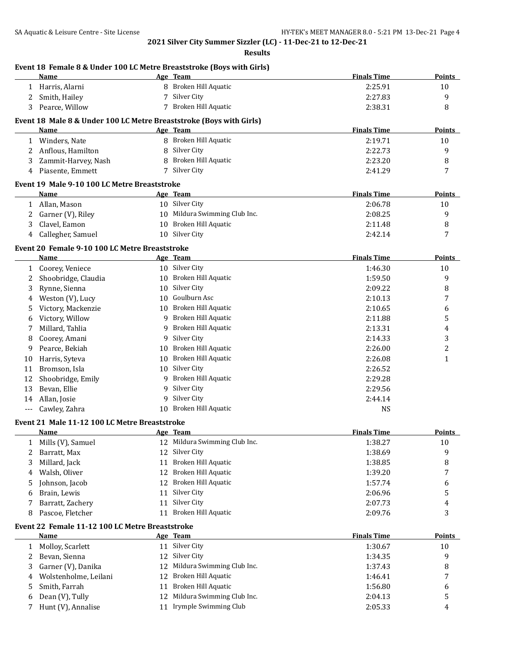|              | Name                                                                |    | Event 18 Female 8 & Under 100 LC Metre Breaststroke (Boys with Girls)<br>Age Team | <b>Finals Time</b> | <b>Points</b> |
|--------------|---------------------------------------------------------------------|----|-----------------------------------------------------------------------------------|--------------------|---------------|
|              | 1 Harris, Alarni                                                    | 8  | Broken Hill Aquatic                                                               | 2:25.91            | 10            |
| 2            | Smith, Hailey                                                       |    | Silver City                                                                       | 2:27.83            | 9             |
| 3            | Pearce, Willow                                                      |    | 7 Broken Hill Aquatic                                                             | 2:38.31            | 8             |
|              | Event 18 Male 8 & Under 100 LC Metre Breaststroke (Boys with Girls) |    |                                                                                   |                    |               |
|              | Name                                                                |    | Age Team                                                                          | <b>Finals Time</b> | Points        |
|              | 1 Winders, Nate                                                     |    | 8 Broken Hill Aquatic                                                             | 2:19.71            | 10            |
|              | 2 Anflous, Hamilton                                                 | 8  | Silver City                                                                       | 2:22.73            | 9             |
| 3            | Zammit-Harvey, Nash                                                 | 8  | Broken Hill Aquatic                                                               | 2:23.20            | 8             |
| 4            | Piasente, Emmett                                                    |    | 7 Silver City                                                                     | 2:41.29            | 7             |
|              | Event 19 Male 9-10 100 LC Metre Breaststroke                        |    |                                                                                   |                    |               |
|              | Name                                                                |    | Age Team                                                                          | <b>Finals Time</b> | <b>Points</b> |
| $\mathbf{1}$ | Allan, Mason                                                        |    | 10 Silver City                                                                    | 2:06.78            | 10            |
| 2            | Garner (V), Riley                                                   |    | 10 Mildura Swimming Club Inc.                                                     | 2:08.25            | 9             |
| 3            | Clavel, Eamon                                                       |    | 10 Broken Hill Aquatic                                                            | 2:11.48            | 8             |
| 4            | Callegher, Samuel                                                   |    | 10 Silver City                                                                    | 2:42.14            | 7             |
|              | Event 20 Female 9-10 100 LC Metre Breaststroke                      |    |                                                                                   |                    |               |
|              | Name                                                                |    | Age Team                                                                          | <b>Finals Time</b> | Points        |
| 1            | Coorey, Veniece                                                     |    | 10 Silver City                                                                    | 1:46.30            | 10            |
| 2            | Shoobridge, Claudia                                                 |    | 10 Broken Hill Aquatic                                                            | 1:59.50            | 9             |
| 3            | Rynne, Sienna                                                       | 10 | Silver City                                                                       | 2:09.22            | 8             |
| 4            | Weston (V), Lucy                                                    | 10 | Goulburn Asc                                                                      | 2:10.13            | 7             |
| 5            | Victory, Mackenzie                                                  |    | 10 Broken Hill Aquatic                                                            | 2:10.65            | 6             |
| 6            | Victory, Willow                                                     | 9  | Broken Hill Aquatic                                                               | 2:11.88            | 5             |
| 7            | Millard, Tahlia                                                     | 9  | Broken Hill Aquatic                                                               | 2:13.31            | 4             |
| 8            | Coorey, Amani                                                       | 9  | Silver City                                                                       | 2:14.33            | 3             |
| 9            | Pearce, Bekiah                                                      | 10 | Broken Hill Aquatic                                                               | 2:26.00            | 2             |
| 10           | Harris, Syteva                                                      | 10 | Broken Hill Aquatic                                                               | 2:26.08            | $\mathbf{1}$  |
| 11           | Bromson, Isla                                                       |    | 10 Silver City                                                                    | 2:26.52            |               |
| 12           | Shoobridge, Emily                                                   | 9  | Broken Hill Aquatic                                                               | 2:29.28            |               |
| 13           | Bevan, Ellie                                                        | 9  | Silver City                                                                       | 2:29.56            |               |
| 14           | Allan, Josie                                                        | 9  | Silver City                                                                       | 2:44.14            |               |
| $---$        | Cawley, Zahra                                                       | 10 | Broken Hill Aquatic                                                               | <b>NS</b>          |               |
|              | Event 21 Male 11-12 100 LC Metre Breaststroke                       |    |                                                                                   |                    |               |
|              | Name                                                                |    | Age Team                                                                          | <b>Finals Time</b> | <b>Points</b> |
| 1            | Mills (V), Samuel                                                   |    | 12 Mildura Swimming Club Inc.                                                     | 1:38.27            | 10            |
| 2            | Barratt, Max                                                        |    | 12 Silver City                                                                    | 1:38.69            | 9             |
| 3            | Millard, Jack                                                       |    | 11 Broken Hill Aquatic                                                            | 1:38.85            | 8             |
| 4            | Walsh, Oliver                                                       |    | 12 Broken Hill Aquatic                                                            | 1:39.20            | 7             |
| 5            | Johnson, Jacob                                                      |    | 12 Broken Hill Aquatic                                                            | 1:57.74            | 6             |
| 6            | Brain, Lewis                                                        |    | 11 Silver City                                                                    | 2:06.96            | 5             |
| 7            | Barratt, Zachery                                                    |    | 11 Silver City                                                                    | 2:07.73            | 4             |
| 8            | Pascoe, Fletcher                                                    |    | 11 Broken Hill Aquatic                                                            | 2:09.76            | 3             |
|              | Event 22 Female 11-12 100 LC Metre Breaststroke                     |    |                                                                                   |                    |               |
|              | <b>Name</b>                                                         |    | Age Team                                                                          | <b>Finals Time</b> | <b>Points</b> |
| 1            | Molloy, Scarlett                                                    |    | 11 Silver City                                                                    | 1:30.67            | 10            |
| 2            | Bevan, Sienna                                                       |    | 12 Silver City                                                                    | 1:34.35            | 9             |
| 3            | Garner (V), Danika                                                  |    | 12 Mildura Swimming Club Inc.                                                     | 1:37.43            | 8             |
| 4            | Wolstenholme, Leilani                                               | 12 | Broken Hill Aquatic                                                               | 1:46.41            | 7             |
| 5            | Smith, Farrah                                                       |    | 11 Broken Hill Aquatic                                                            | 1:56.80            | 6             |
| 6            | Dean (V), Tully                                                     | 12 | Mildura Swimming Club Inc.                                                        | 2:04.13            | 5             |
|              | Hunt (V), Annalise                                                  |    | 11 Irymple Swimming Club                                                          | 2:05.33            | 4             |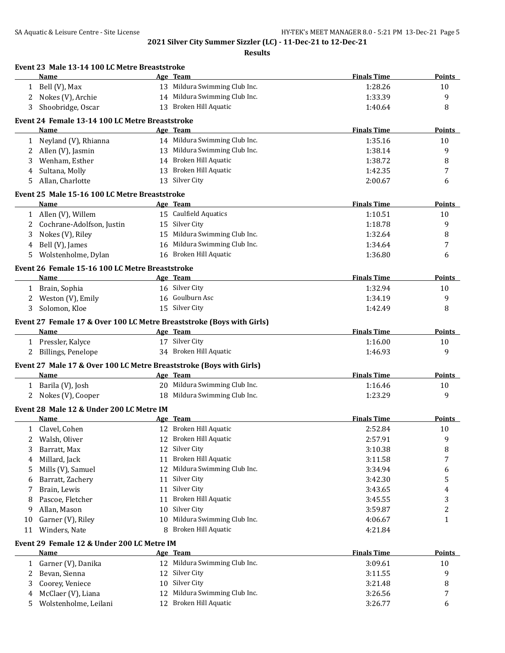|                      | Event 23 Male 13-14 100 LC Metre Breaststroke<br>Name                 |    | Age Team                      | <b>Finals Time</b> | Points        |
|----------------------|-----------------------------------------------------------------------|----|-------------------------------|--------------------|---------------|
|                      |                                                                       |    | 13 Mildura Swimming Club Inc. |                    |               |
|                      | 1 Bell (V), Max                                                       |    |                               | 1:28.26            | 10            |
| $\mathbf{2}^{\circ}$ | Nokes (V), Archie                                                     |    | 14 Mildura Swimming Club Inc. | 1:33.39            | 9             |
| 3                    | Shoobridge, Oscar                                                     |    | 13 Broken Hill Aquatic        | 1:40.64            | 8             |
|                      | Event 24 Female 13-14 100 LC Metre Breaststroke                       |    |                               |                    |               |
|                      | Name                                                                  |    | Age Team                      | <b>Finals Time</b> | <b>Points</b> |
| $\mathbf{1}$         | Neyland (V), Rhianna                                                  |    | 14 Mildura Swimming Club Inc. | 1:35.16            | 10            |
|                      | 2 Allen (V), Jasmin                                                   |    | 13 Mildura Swimming Club Inc. | 1:38.14            | 9             |
| 3                    | Wenham, Esther                                                        |    | 14 Broken Hill Aquatic        | 1:38.72            | 8             |
| 4                    | Sultana, Molly                                                        |    | 13 Broken Hill Aquatic        | 1:42.35            | 7             |
| 5                    | Allan, Charlotte                                                      |    | 13 Silver City                | 2:00.67            | 6             |
|                      | Event 25 Male 15-16 100 LC Metre Breaststroke                         |    |                               |                    |               |
|                      | Name                                                                  |    | Age Team                      | <b>Finals Time</b> | <b>Points</b> |
|                      | 1 Allen (V), Willem                                                   |    | 15 Caulfield Aquatics         | 1:10.51            | 10            |
| 2                    | Cochrane-Adolfson, Justin                                             |    | 15 Silver City                | 1:18.78            | 9             |
| 3                    | Nokes (V), Riley                                                      |    | 15 Mildura Swimming Club Inc. | 1:32.64            | 8             |
| 4                    | Bell (V), James                                                       |    | 16 Mildura Swimming Club Inc. | 1:34.64            | 7             |
| 5                    | Wolstenholme, Dylan                                                   |    | 16 Broken Hill Aquatic        | 1:36.80            | 6             |
|                      | Event 26 Female 15-16 100 LC Metre Breaststroke                       |    |                               |                    |               |
|                      | Name                                                                  |    | Age Team                      | <b>Finals Time</b> | Points        |
|                      | 1 Brain, Sophia                                                       |    | 16 Silver City                | 1:32.94            | 10            |
|                      | 2 Weston (V), Emily                                                   |    | 16 Goulburn Asc               | 1:34.19            | 9             |
| 3                    | Solomon, Kloe                                                         |    | 15 Silver City                | 1:42.49            | 8             |
|                      | Event 27 Female 17 & Over 100 LC Metre Breaststroke (Boys with Girls) |    |                               |                    |               |
|                      | Name                                                                  |    | Age Team                      | <b>Finals Time</b> | Points        |
|                      | 1 Pressler, Kalyce                                                    |    | 17 Silver City                | 1:16.00            | 10            |
|                      | 2 Billings, Penelope                                                  |    | 34 Broken Hill Aquatic        | 1:46.93            | 9             |
|                      | Event 27 Male 17 & Over 100 LC Metre Breaststroke (Boys with Girls)   |    |                               |                    |               |
|                      | Name                                                                  |    | Age Team                      | <b>Finals Time</b> | Points        |
|                      | 1 Barila (V), Josh                                                    |    | 20 Mildura Swimming Club Inc. | 1:16.46            | 10            |
|                      | 2 Nokes (V), Cooper                                                   |    | 18 Mildura Swimming Club Inc. | 1:23.29            | 9             |
|                      | Event 28 Male 12 & Under 200 LC Metre IM                              |    |                               |                    |               |
|                      | Name                                                                  |    | Age Team                      | <b>Finals Time</b> | Points        |
|                      | 1 Clavel, Cohen                                                       |    | 12 Broken Hill Aquatic        | 2:52.84            | 10            |
| 2                    | Walsh, Oliver                                                         |    | 12 Broken Hill Aquatic        | 2:57.91            | 9             |
| 3                    | Barratt, Max                                                          | 12 | Silver City                   | 3:10.38            | 8             |
| 4                    | Millard, Jack                                                         | 11 | Broken Hill Aquatic           | 3:11.58            | 7             |
| 5                    | Mills (V), Samuel                                                     | 12 | Mildura Swimming Club Inc.    | 3:34.94            | 6             |
| 6                    | Barratt, Zachery                                                      | 11 | Silver City                   | 3:42.30            | 5             |
| 7                    | Brain, Lewis                                                          | 11 | Silver City                   | 3:43.65            | 4             |
| 8                    | Pascoe, Fletcher                                                      | 11 | Broken Hill Aquatic           | 3:45.55            | 3             |
| 9                    | Allan, Mason                                                          | 10 | Silver City                   | 3:59.87            | 2             |
| 10                   | Garner (V), Riley                                                     | 10 | Mildura Swimming Club Inc.    | 4:06.67            | 1             |
| 11                   | Winders, Nate                                                         | 8  | Broken Hill Aquatic           | 4:21.84            |               |
|                      |                                                                       |    |                               |                    |               |
|                      | Event 29 Female 12 & Under 200 LC Metre IM<br><b>Name</b>             |    | Age Team                      | <b>Finals Time</b> | <b>Points</b> |
| $\mathbf{1}$         | Garner (V), Danika                                                    |    | 12 Mildura Swimming Club Inc. | 3:09.61            | 10            |
| 2                    | Bevan, Sienna                                                         |    | 12 Silver City                | 3:11.55            | 9             |
| 3                    | Coorey, Veniece                                                       | 10 | Silver City                   | 3:21.48            | 8             |
| 4                    | McClaer (V), Liana                                                    | 12 | Mildura Swimming Club Inc.    | 3:26.56            | 7             |
| 5                    | Wolstenholme, Leilani                                                 |    | 12 Broken Hill Aquatic        | 3:26.77            | 6             |
|                      |                                                                       |    |                               |                    |               |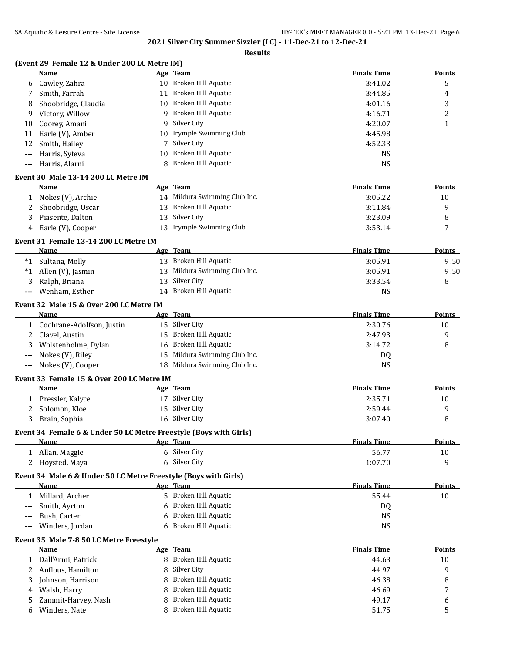|              | Name                                                                             |   | Age Team                                   | <b>Finals Time</b>          | <b>Points</b>           |
|--------------|----------------------------------------------------------------------------------|---|--------------------------------------------|-----------------------------|-------------------------|
|              | 6 Cawley, Zahra                                                                  |   | 10 Broken Hill Aquatic                     | 3:41.02                     | 5                       |
| 7            | Smith, Farrah                                                                    |   | 11 Broken Hill Aquatic                     | 3:44.85                     | 4                       |
| 8            | Shoobridge, Claudia                                                              |   | 10 Broken Hill Aquatic                     | 4:01.16                     | 3                       |
| 9            | Victory, Willow                                                                  |   | 9 Broken Hill Aquatic                      | 4:16.71                     | 2                       |
| 10           | Coorey, Amani                                                                    |   | 9 Silver City                              | 4:20.07                     | 1                       |
| 11           | Earle (V), Amber                                                                 |   | 10 Irymple Swimming Club                   | 4:45.98                     |                         |
| 12           | Smith, Hailey                                                                    |   | 7 Silver City                              | 4:52.33                     |                         |
| $---$        | Harris, Syteva                                                                   |   | 10 Broken Hill Aquatic                     | <b>NS</b>                   |                         |
|              | Harris, Alarni                                                                   |   | 8 Broken Hill Aquatic                      | <b>NS</b>                   |                         |
|              | Event 30 Male 13-14 200 LC Metre IM                                              |   |                                            |                             |                         |
|              | <b>Name</b>                                                                      |   | Age Team                                   | <b>Finals Time</b>          | <b>Points</b>           |
|              | 1 Nokes (V), Archie                                                              |   | 14 Mildura Swimming Club Inc.              | 3:05.22                     | 10                      |
|              | 2 Shoobridge, Oscar                                                              |   | 13 Broken Hill Aquatic                     | 3:11.84                     | 9                       |
| 3            | Piasente, Dalton                                                                 |   | 13 Silver City                             | 3:23.09                     | 8                       |
| 4            | Earle (V), Cooper                                                                |   | 13 Irymple Swimming Club                   | 3:53.14                     | 7                       |
|              | Event 31 Female 13-14 200 LC Metre IM                                            |   |                                            |                             |                         |
|              | <b>Name</b>                                                                      |   | Age Team                                   | <b>Finals Time</b>          | <b>Points</b>           |
|              | *1 Sultana, Molly                                                                |   | 13 Broken Hill Aquatic                     | 3:05.91                     | 9.50                    |
| *1           | Allen (V), Jasmin                                                                |   | 13 Mildura Swimming Club Inc.              | 3:05.91                     | 9.50                    |
| 3            | Ralph, Briana                                                                    |   | 13 Silver City                             | 3:33.54                     | 8                       |
| $---$        | Wenham, Esther                                                                   |   | 14 Broken Hill Aquatic                     | <b>NS</b>                   |                         |
|              | Event 32 Male 15 & Over 200 LC Metre IM                                          |   |                                            |                             |                         |
|              | Name                                                                             |   | Age Team                                   | <b>Finals Time</b>          | Points                  |
|              | 1 Cochrane-Adolfson, Justin                                                      |   | 15 Silver City                             | 2:30.76                     | 10                      |
| 2            | Clavel, Austin                                                                   |   | 15 Broken Hill Aquatic                     | 2:47.93                     | 9                       |
| 3            | Wolstenholme, Dylan                                                              |   | 16 Broken Hill Aquatic                     | 3:14.72                     | 8                       |
| $---$        | Nokes (V), Riley                                                                 |   | 15 Mildura Swimming Club Inc.              | DQ                          |                         |
| ---          | Nokes (V), Cooper                                                                |   | 18 Mildura Swimming Club Inc.              | <b>NS</b>                   |                         |
|              | Event 33 Female 15 & Over 200 LC Metre IM                                        |   |                                            |                             |                         |
|              | Name                                                                             |   | Age Team                                   | <b>Finals Time</b>          | <b>Points</b>           |
|              | 1 Pressler, Kalyce                                                               |   | 17 Silver City                             | 2:35.71                     |                         |
|              |                                                                                  |   |                                            |                             | 10                      |
|              |                                                                                  |   |                                            |                             |                         |
| 2<br>3       | Solomon, Kloe                                                                    |   | 15 Silver City<br>16 Silver City           | 2:59.44<br>3:07.40          | 9<br>8                  |
|              | Brain, Sophia                                                                    |   |                                            |                             |                         |
|              | Event 34 Female 6 & Under 50 LC Metre Freestyle (Boys with Girls)<br><u>Name</u> |   |                                            | <b>Finals Time</b>          |                         |
|              |                                                                                  |   | Age Team<br>6 Silver City                  |                             |                         |
| 2            | 1 Allan, Maggie                                                                  |   | 6 Silver City                              | 56.77                       | 10<br>9                 |
|              | Hoysted, Maya                                                                    |   |                                            | 1:07.70                     |                         |
|              | Event 34 Male 6 & Under 50 LC Metre Freestyle (Boys with Girls)<br><b>Name</b>   |   |                                            | <b>Finals Time</b>          |                         |
| $\mathbf{1}$ |                                                                                  |   | Age Team<br>5 Broken Hill Aquatic          |                             |                         |
| ---          | Millard, Archer                                                                  |   |                                            | 55.44                       | 10                      |
| $---$        | Smith, Ayrton                                                                    |   | 6 Broken Hill Aquatic                      | DQ                          |                         |
|              | Bush, Carter                                                                     |   | Broken Hill Aquatic                        | <b>NS</b>                   |                         |
|              | Winders, Jordan                                                                  |   | Broken Hill Aquatic                        | <b>NS</b>                   | Points<br><b>Points</b> |
|              | Event 35 Male 7-8 50 LC Metre Freestyle<br><b>Name</b>                           |   | Age Team                                   |                             | <b>Points</b>           |
| 1            |                                                                                  |   | 8 Broken Hill Aquatic                      | <b>Finals Time</b><br>44.63 |                         |
| 2            | Dall'Armi, Patrick                                                               |   |                                            |                             | 10                      |
|              | Anflous, Hamilton                                                                |   | 8 Silver City                              | 44.97                       | 9                       |
| 3            | Johnson, Harrison                                                                |   | 8 Broken Hill Aquatic                      | 46.38                       | 8                       |
| 4<br>5       | Walsh, Harry<br>Zammit-Harvey, Nash                                              | 8 | Broken Hill Aquatic<br>Broken Hill Aquatic | 46.69<br>49.17              | 7<br>6                  |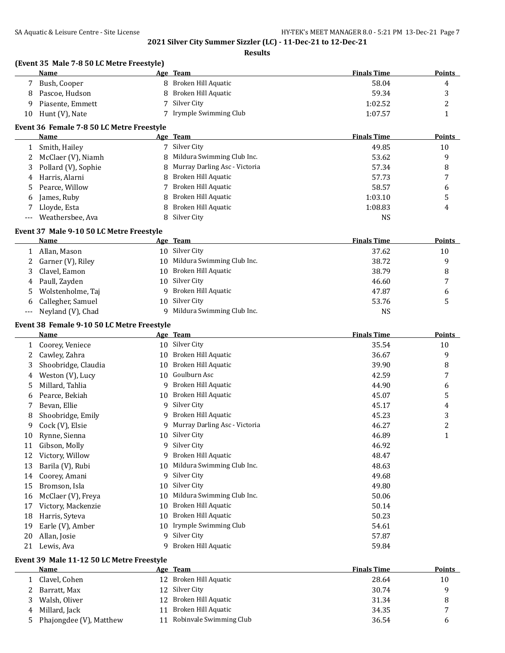**Finals Time Points** 

## **2021 Silver City Summer Sizzler (LC) - 11-Dec-21 to 12-Dec-21**

**Results**

|    | (Event 35 Male 7-8 50 LC Metre Freestyle) |                              |                    |               |
|----|-------------------------------------------|------------------------------|--------------------|---------------|
|    | <b>Name</b>                               | Age Team                     | <b>Finals Time</b> | Points        |
|    | Bush, Cooper                              | 8 Broken Hill Aquatic        | 58.04              | 4             |
| 8  | Pascoe, Hudson                            | 8 Broken Hill Aquatic        | 59.34              |               |
| -9 | Piasente, Emmett                          | Silver City                  | 1:02.52            | ∠             |
| 10 | Hunt (V), Nate                            | 7 Irymple Swimming Club      | 1:07.57            |               |
|    | Event 36 Female 7-8 50 LC Metre Freestyle |                              |                    |               |
|    | <b>Name</b>                               | Age Team                     | <b>Finals Time</b> | <b>Points</b> |
|    | Smith, Hailey                             | Silver City                  | 49.85              | 10            |
|    | McClaer (V), Niamh                        | 8 Mildura Swimming Club Inc. | 53.62              | 9             |
|    | - - - - - - - -                           |                              |                    |               |

|   | Smith, Hailey        | 7 Silver City                   | 49.85   | 10 |
|---|----------------------|---------------------------------|---------|----|
|   | 2 McClaer (V), Niamh | 8 Mildura Swimming Club Inc.    | 53.62   | 9  |
|   | Pollard (V), Sophie  | 8 Murray Darling Asc - Victoria | 57.34   | 8  |
|   | 4 Harris, Alarni     | 8 Broken Hill Aquatic           | 57.73   | 7  |
| 5 | Pearce, Willow       | 7 Broken Hill Aquatic           | 58.57   | 6  |
| 6 | James, Ruby          | 8 Broken Hill Aquatic           | 1:03.10 | 5. |
|   | Lloyde, Esta         | 8 Broken Hill Aquatic           | 1:08.83 | 4  |
|   | --- Weathersbee, Ava | 8 Silver City                   | NS      |    |

## **Event 37 Male 9-10 50 LC Metre Freestyle**

|    | <b>Name</b>           | Age Team                      | <b>Finals Time</b> | <b>Points</b> |
|----|-----------------------|-------------------------------|--------------------|---------------|
|    | Allan, Mason          | 10 Silver City                | 37.62              | 10            |
| 2  | Garner (V), Riley     | 10 Mildura Swimming Club Inc. | 38.72              | q             |
| 3  | Clavel, Eamon         | 10 Broken Hill Aquatic        | 38.79              | 8             |
|    | 4 Paull, Zayden       | 10 Silver City                | 46.60              |               |
| 5. | Wolstenholme, Taj     | 9 Broken Hill Aquatic         | 47.87              | b             |
| 6  | Callegher, Samuel     | 10 Silver City                | 53.76              |               |
|    | --- Neyland (V), Chad | 9 Mildura Swimming Club Inc.  | NS                 |               |

# **Event 38 Female 9-10 50 LC Metre Freestyle**

|    | Name                |    | Age Team                      | <b>Finals Time</b> | Points       |
|----|---------------------|----|-------------------------------|--------------------|--------------|
|    | Coorey, Veniece     | 10 | Silver City                   | 35.54              | 10           |
|    | Cawley, Zahra       | 10 | Broken Hill Aquatic           | 36.67              | 9            |
| 3  | Shoobridge, Claudia | 10 | Broken Hill Aquatic           | 39.90              | 8            |
| 4  | Weston (V), Lucy    | 10 | Goulburn Asc                  | 42.59              | 7            |
| 5. | Millard, Tahlia     | 9  | Broken Hill Aquatic           | 44.90              | 6            |
| b  | Pearce, Bekiah      | 10 | Broken Hill Aquatic           | 45.07              | 5            |
|    | Bevan, Ellie        | 9  | Silver City                   | 45.17              | 4            |
| 8  | Shoobridge, Emily   | 9  | Broken Hill Aquatic           | 45.23              | 3            |
| 9  | Cock (V), Elsie     | 9  | Murray Darling Asc - Victoria | 46.27              | 2            |
| 10 | Rynne, Sienna       | 10 | Silver City                   | 46.89              | $\mathbf{1}$ |
| 11 | Gibson, Molly       | 9  | Silver City                   | 46.92              |              |
| 12 | Victory, Willow     | 9  | Broken Hill Aquatic           | 48.47              |              |
| 13 | Barila (V), Rubi    | 10 | Mildura Swimming Club Inc.    | 48.63              |              |
| 14 | Coorey, Amani       | 9  | Silver City                   | 49.68              |              |
| 15 | Bromson, Isla       | 10 | Silver City                   | 49.80              |              |
| 16 | McClaer (V), Freya  | 10 | Mildura Swimming Club Inc.    | 50.06              |              |
| 17 | Victory, Mackenzie  | 10 | Broken Hill Aquatic           | 50.14              |              |
| 18 | Harris, Syteva      | 10 | Broken Hill Aquatic           | 50.23              |              |
| 19 | Earle (V), Amber    | 10 | Irymple Swimming Club         | 54.61              |              |
| 20 | Allan, Josie        | q  | Silver City                   | 57.87              |              |
| 21 | Lewis, Ava          | 9  | Broken Hill Aquatic           | 59.84              |              |

# **Event 39 Male 11-12 50 LC Metre Freestyle**

|   | Name                    | Age | Team                    | <b>Finals Time</b> | <b>Points</b> |
|---|-------------------------|-----|-------------------------|--------------------|---------------|
|   | Clavel, Cohen           |     | 12 Broken Hill Aquatic  | 28.64              | 10            |
|   | Barratt, Max            |     | 12 Silver City          | 30.74              |               |
|   | Walsh, Oliver           |     | 12 Broken Hill Aquatic  | 31.34              |               |
| 4 | Millard, Jack           |     | Broken Hill Aquatic     | 34.35              |               |
|   | Phajongdee (V), Matthew |     | Robinvale Swimming Club | 36.54              |               |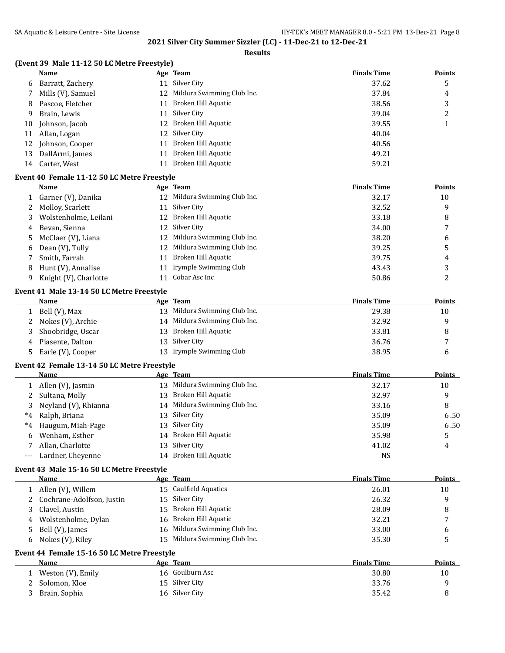## **Results**

# **(Event 39 Male 11-12 50 LC Metre Freestyle)**

|              | Name                                                |    | Age Team                                  | <b>Finals Time</b> | <b>Points</b> |
|--------------|-----------------------------------------------------|----|-------------------------------------------|--------------------|---------------|
| 6            | Barratt, Zachery                                    |    | 11 Silver City                            | 37.62              | 5             |
| 7            | Mills (V), Samuel                                   |    | 12 Mildura Swimming Club Inc.             | 37.84              | 4             |
| 8            | Pascoe, Fletcher                                    | 11 | Broken Hill Aquatic                       | 38.56              | 3             |
| 9            | Brain, Lewis                                        | 11 | Silver City                               | 39.04              | 2             |
| 10           | Johnson, Jacob                                      | 12 | Broken Hill Aquatic                       | 39.55              | $\mathbf{1}$  |
| 11           | Allan, Logan                                        | 12 | Silver City                               | 40.04              |               |
| 12           | Johnson, Cooper                                     | 11 | Broken Hill Aquatic                       | 40.56              |               |
| 13           | DallArmi, James                                     | 11 | Broken Hill Aquatic                       | 49.21              |               |
| 14           | Carter, West                                        | 11 | Broken Hill Aquatic                       | 59.21              |               |
|              |                                                     |    |                                           |                    |               |
|              | Event 40 Female 11-12 50 LC Metre Freestyle<br>Name |    |                                           | <b>Finals Time</b> | Points        |
|              |                                                     |    | Age Team<br>12 Mildura Swimming Club Inc. | 32.17              |               |
| 1            | Garner (V), Danika                                  |    | 11 Silver City                            |                    | 10            |
| 2            | Molloy, Scarlett                                    |    |                                           | 32.52              | 9             |
| 3            | Wolstenholme, Leilani                               | 12 | Broken Hill Aquatic                       | 33.18              | 8             |
| 4            | Bevan, Sienna                                       | 12 | Silver City                               | 34.00              | 7             |
| 5            | McClaer (V), Liana                                  |    | 12 Mildura Swimming Club Inc.             | 38.20              | 6             |
| 6            | Dean (V), Tully                                     |    | 12 Mildura Swimming Club Inc.             | 39.25              | 5             |
| 7            | Smith, Farrah                                       |    | 11 Broken Hill Aquatic                    | 39.75              | 4             |
| 8            | Hunt (V), Annalise                                  |    | 11 Irymple Swimming Club                  | 43.43              | 3             |
| 9            | Knight (V), Charlotte                               |    | 11 Cobar Asc Inc                          | 50.86              | 2             |
|              | Event 41 Male 13-14 50 LC Metre Freestyle           |    |                                           |                    |               |
|              | <b>Name</b>                                         |    | Age Team                                  | <b>Finals Time</b> | <b>Points</b> |
| $\mathbf{1}$ | Bell (V), Max                                       |    | 13 Mildura Swimming Club Inc.             | 29.38              | 10            |
| 2            | Nokes (V), Archie                                   |    | 14 Mildura Swimming Club Inc.             | 32.92              | 9             |
| 3            | Shoobridge, Oscar                                   | 13 | Broken Hill Aquatic                       | 33.81              | 8             |
| 4            | Piasente, Dalton                                    | 13 | Silver City                               | 36.76              | 7             |
| 5.           | Earle (V), Cooper                                   |    | 13 Irymple Swimming Club                  | 38.95              | 6             |
|              | Event 42 Female 13-14 50 LC Metre Freestyle         |    |                                           |                    |               |
|              | Name                                                |    | <u>Age Team</u>                           | <b>Finals Time</b> | <b>Points</b> |
| 1            | Allen (V), Jasmin                                   |    | 13 Mildura Swimming Club Inc.             | 32.17              | 10            |
| 2            | Sultana, Molly                                      | 13 | Broken Hill Aquatic                       | 32.97              | 9             |
| 3            | Neyland (V), Rhianna                                |    | 14 Mildura Swimming Club Inc.             | 33.16              | 8             |
| $*4$         | Ralph, Briana                                       | 13 | Silver City                               | 35.09              | 6.50          |
|              |                                                     |    | Silver City                               |                    |               |
| *4           | Haugum, Miah-Page                                   | 13 | 14 Broken Hill Aquatic                    | 35.09              | 6.50          |
| 6            | Wenham, Esther                                      |    |                                           | 35.98              | 5             |
|              | Allan, Charlotte                                    |    | 13 Silver City                            | 41.02              | 4             |
|              | Lardner, Cheyenne                                   | 14 | Broken Hill Aquatic                       | <b>NS</b>          |               |
|              | Event 43 Male 15-16 50 LC Metre Freestyle           |    |                                           |                    |               |
|              | <b>Name</b>                                         |    | Age Team                                  | <b>Finals Time</b> | <b>Points</b> |
| 1            | Allen (V), Willem                                   |    | 15 Caulfield Aquatics                     | 26.01              | 10            |
| 2            | Cochrane-Adolfson, Justin                           | 15 | Silver City                               | 26.32              | 9             |
| 3            | Clavel, Austin                                      | 15 | Broken Hill Aquatic                       | 28.09              | 8             |
| 4            | Wolstenholme, Dylan                                 | 16 | Broken Hill Aquatic                       | 32.21              | 7             |
| 5            | Bell (V), James                                     | 16 | Mildura Swimming Club Inc.                | 33.00              | 6             |
| 6            | Nokes (V), Riley                                    | 15 | Mildura Swimming Club Inc.                | 35.30              | 5             |
|              | Event 44 Female 15-16 50 LC Metre Freestyle         |    |                                           |                    |               |
|              | Name                                                |    | Age Team                                  | <b>Finals Time</b> | <b>Points</b> |
| 1            | Weston (V), Emily                                   |    | 16 Goulburn Asc                           | 30.80              | 10            |
| 2            | Solomon, Kloe                                       |    | 15 Silver City                            | 33.76              | 9             |
| 3            | Brain, Sophia                                       |    | 16 Silver City                            | 35.42              | 8             |
|              |                                                     |    |                                           |                    |               |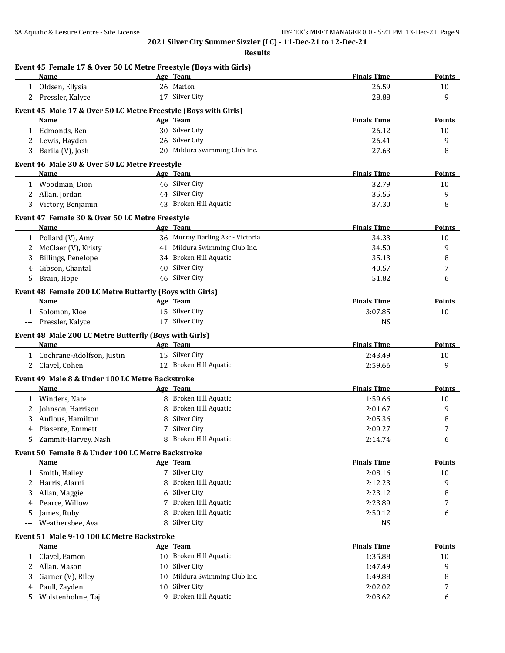| Name                                    |                                                          |    | Age Team                                                        | <b>Finals Time</b> | <b>Points</b>    |
|-----------------------------------------|----------------------------------------------------------|----|-----------------------------------------------------------------|--------------------|------------------|
| 1 Oldsen, Ellysia                       |                                                          |    | 26 Marion                                                       | 26.59              | 10               |
| 2 Pressler, Kalyce                      |                                                          |    | 17 Silver City                                                  | 28.88              | 9                |
|                                         |                                                          |    | Event 45 Male 17 & Over 50 LC Metre Freestyle (Boys with Girls) |                    |                  |
| <b>Name</b>                             |                                                          |    | Age Team                                                        | <b>Finals Time</b> | <b>Points</b>    |
| 1 Edmonds, Ben                          |                                                          |    | 30 Silver City                                                  | 26.12              | 10               |
| 2 Lewis, Hayden                         |                                                          |    | 26 Silver City                                                  | 26.41              | 9                |
| 3 Barila (V), Josh                      |                                                          |    | 20 Mildura Swimming Club Inc.                                   | 27.63              | 8                |
|                                         | Event 46 Male 30 & Over 50 LC Metre Freestyle            |    |                                                                 |                    |                  |
| Name                                    |                                                          |    | Age Team                                                        | <b>Finals Time</b> | <b>Points</b>    |
| 1 Woodman, Dion                         |                                                          |    | 46 Silver City                                                  | 32.79              | 10               |
| 2 Allan, Jordan                         |                                                          |    | 44 Silver City                                                  | 35.55              | 9                |
| Victory, Benjamin<br>3                  |                                                          |    | 43 Broken Hill Aquatic                                          | 37.30              | 8                |
|                                         |                                                          |    |                                                                 |                    |                  |
|                                         | Event 47 Female 30 & Over 50 LC Metre Freestyle          |    |                                                                 |                    |                  |
| Name                                    |                                                          |    | Age Team                                                        | <b>Finals Time</b> | <b>Points</b>    |
| 1 Pollard (V), Amy                      |                                                          |    | 36 Murray Darling Asc - Victoria                                | 34.33              | 10               |
| McClaer (V), Kristy<br>2                |                                                          |    | 41 Mildura Swimming Club Inc.                                   | 34.50              | 9                |
| <b>Billings, Penelope</b><br>3          |                                                          |    | 34 Broken Hill Aquatic                                          | 35.13              | 8                |
| Gibson, Chantal<br>4                    |                                                          |    | 40 Silver City                                                  | 40.57              | 7                |
| Brain, Hope<br>5                        |                                                          |    | 46 Silver City                                                  | 51.82              | 6                |
|                                         | Event 48 Female 200 LC Metre Butterfly (Boys with Girls) |    |                                                                 |                    |                  |
| Name                                    |                                                          |    | Age Team                                                        | <b>Finals Time</b> | Points           |
| 1 Solomon, Kloe                         |                                                          |    | 15 Silver City                                                  | 3:07.85            | 10               |
| Pressler, Kalyce                        |                                                          |    | 17 Silver City                                                  | <b>NS</b>          |                  |
|                                         | Event 48 Male 200 LC Metre Butterfly (Boys with Girls)   |    |                                                                 |                    |                  |
| Name                                    |                                                          |    | Age Team                                                        | <b>Finals Time</b> | <b>Points</b>    |
|                                         | 1 Cochrane-Adolfson, Justin                              |    | 15 Silver City                                                  | 2:43.49            | 10               |
| 2 Clavel, Cohen                         |                                                          |    | 12 Broken Hill Aquatic                                          | 2:59.66            | 9                |
|                                         | Event 49 Male 8 & Under 100 LC Metre Backstroke          |    |                                                                 |                    |                  |
| Name                                    |                                                          |    | Age Team                                                        | <b>Finals Time</b> | <b>Points</b>    |
| 1 Winders, Nate                         |                                                          |    | 8 Broken Hill Aquatic                                           | 1:59.66            | 10               |
| 2 Johnson, Harrison                     |                                                          |    | 8 Broken Hill Aquatic                                           | 2:01.67            | 9                |
| Anflous, Hamilton<br>3                  |                                                          |    | 8 Silver City                                                   | 2:05.36            | 8                |
| Piasente, Emmett<br>4                   |                                                          |    | 7 Silver City                                                   | 2:09.27            | $\boldsymbol{7}$ |
| Zammit-Harvey, Nash<br>5.               |                                                          |    | 8 Broken Hill Aquatic                                           | 2:14.74            | 6                |
|                                         |                                                          |    |                                                                 |                    |                  |
|                                         | Event 50 Female 8 & Under 100 LC Metre Backstroke        |    |                                                                 |                    |                  |
| Name                                    |                                                          |    | Age Team                                                        | <b>Finals Time</b> | Points           |
| Smith, Hailey<br>1                      |                                                          |    | 7 Silver City                                                   | 2:08.16            | 10               |
| Harris, Alarni<br>2                     |                                                          | 8  | Broken Hill Aquatic                                             | 2:12.23            | 9                |
| Allan, Maggie<br>3                      |                                                          |    | 6 Silver City                                                   | 2:23.12            | 8                |
| Pearce, Willow<br>4                     |                                                          | 7  | Broken Hill Aquatic                                             | 2:23.89            | 7                |
| James, Ruby<br>5                        |                                                          | 8  | Broken Hill Aquatic                                             | 2:50.12            | 6                |
| Weathersbee, Ava<br>---                 |                                                          | 8  | Silver City                                                     | <b>NS</b>          |                  |
|                                         | Event 51 Male 9-10 100 LC Metre Backstroke               |    |                                                                 |                    |                  |
| Name                                    |                                                          |    | Age Team                                                        | <b>Finals Time</b> | <b>Points</b>    |
|                                         |                                                          |    | 10 Broken Hill Aquatic                                          | 1:35.88            | 10               |
| Clavel, Eamon<br>1                      |                                                          |    | 10 Silver City                                                  | 1:47.49            | 9                |
| Allan, Mason<br>2                       |                                                          |    |                                                                 |                    |                  |
| 3                                       |                                                          | 10 | Mildura Swimming Club Inc.                                      | 1:49.88            | 8                |
| Garner (V), Riley<br>Paull, Zayden<br>4 |                                                          | 10 | Silver City                                                     | 2:02.02            | 7                |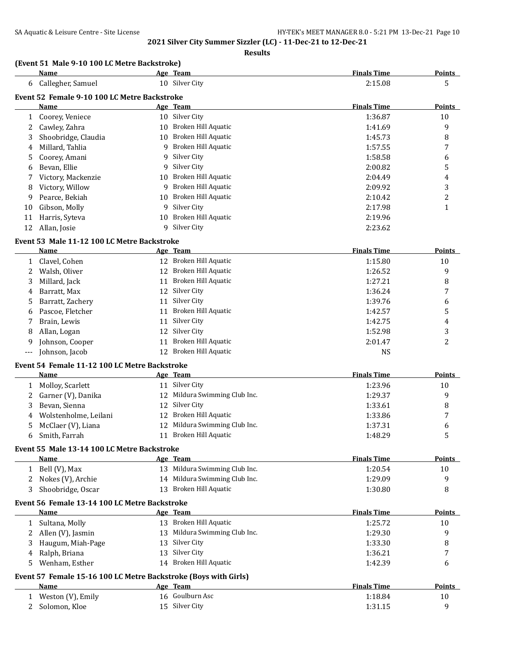|     | <b>Name</b>                                                     |    | Age Team                      | <b>Finals Time</b> | <b>Points</b> |
|-----|-----------------------------------------------------------------|----|-------------------------------|--------------------|---------------|
| 6   | Callegher, Samuel                                               |    | 10 Silver City                | 2:15.08            | 5             |
|     | Event 52 Female 9-10 100 LC Metre Backstroke                    |    |                               |                    |               |
|     | Name                                                            |    | Age Team                      | <b>Finals Time</b> | <b>Points</b> |
| 1   | Coorey, Veniece                                                 |    | 10 Silver City                | 1:36.87            | 10            |
| 2   | Cawley, Zahra                                                   |    | 10 Broken Hill Aquatic        | 1:41.69            | 9             |
| 3   | Shoobridge, Claudia                                             |    | 10 Broken Hill Aquatic        | 1:45.73            | 8             |
| 4   | Millard, Tahlia                                                 |    | 9 Broken Hill Aquatic         | 1:57.55            | 7             |
| 5   | Coorey, Amani                                                   |    | 9 Silver City                 | 1:58.58            | 6             |
| 6   | Bevan, Ellie                                                    |    | 9 Silver City                 | 2:00.82            | 5             |
| 7   | Victory, Mackenzie                                              |    | 10 Broken Hill Aquatic        | 2:04.49            | 4             |
| 8   | Victory, Willow                                                 |    | 9 Broken Hill Aquatic         | 2:09.92            | 3             |
| 9   | Pearce, Bekiah                                                  |    | 10 Broken Hill Aquatic        | 2:10.42            | 2             |
| 10  | Gibson, Molly                                                   |    | 9 Silver City                 | 2:17.98            | 1             |
| 11  | Harris, Syteva                                                  |    | 10 Broken Hill Aquatic        | 2:19.96            |               |
| 12  | Allan, Josie                                                    |    | 9 Silver City                 | 2:23.62            |               |
|     |                                                                 |    |                               |                    |               |
|     | Event 53 Male 11-12 100 LC Metre Backstroke                     |    |                               |                    |               |
|     | Name                                                            |    | Age Team                      | <b>Finals Time</b> | <b>Points</b> |
| 1   | Clavel, Cohen                                                   |    | 12 Broken Hill Aquatic        | 1:15.80            | 10            |
| 2   | Walsh, Oliver                                                   |    | 12 Broken Hill Aquatic        | 1:26.52            | 9             |
| 3   | Millard, Jack                                                   |    | 11 Broken Hill Aquatic        | 1:27.21            | 8             |
| 4   | Barratt, Max                                                    |    | 12 Silver City                | 1:36.24            | 7             |
| 5   | Barratt, Zachery                                                |    | 11 Silver City                | 1:39.76            | 6             |
| 6   | Pascoe, Fletcher                                                |    | 11 Broken Hill Aquatic        | 1:42.57            | 5             |
| 7   | Brain, Lewis                                                    | 11 | Silver City                   | 1:42.75            | 4             |
| 8   | Allan, Logan                                                    |    | 12 Silver City                | 1:52.98            | 3             |
| 9   | Johnson, Cooper                                                 | 11 | Broken Hill Aquatic           | 2:01.47            | 2             |
| --- | Johnson, Jacob                                                  |    | 12 Broken Hill Aquatic        | <b>NS</b>          |               |
|     | Event 54 Female 11-12 100 LC Metre Backstroke                   |    |                               |                    |               |
|     | Name                                                            |    | Age Team                      | <b>Finals Time</b> | <b>Points</b> |
|     | 1 Molloy, Scarlett                                              |    | 11 Silver City                | 1:23.96            | 10            |
| 2   | Garner (V), Danika                                              |    | 12 Mildura Swimming Club Inc. | 1:29.37            | 9             |
| 3   | Bevan, Sienna                                                   |    | 12 Silver City                | 1:33.61            | 8             |
| 4   | Wolstenholme, Leilani                                           |    | 12 Broken Hill Aquatic        | 1:33.86            | 7             |
| 5   | McClaer (V), Liana                                              |    | 12 Mildura Swimming Club Inc. | 1:37.31            | 6             |
| 6   | Smith, Farrah                                                   |    | 11 Broken Hill Aquatic        | 1:48.29            | 5             |
|     | Event 55 Male 13-14 100 LC Metre Backstroke                     |    |                               |                    |               |
|     | Name                                                            |    | Age Team                      | <b>Finals Time</b> | <b>Points</b> |
|     | 1 Bell (V), Max                                                 |    | 13 Mildura Swimming Club Inc. | 1:20.54            | 10            |
|     | 2 Nokes (V), Archie                                             |    | 14 Mildura Swimming Club Inc. | 1:29.09            | 9             |
| 3   | Shoobridge, Oscar                                               |    | 13 Broken Hill Aquatic        | 1:30.80            | 8             |
|     | Event 56 Female 13-14 100 LC Metre Backstroke                   |    |                               |                    |               |
|     | Name                                                            |    | Age Team                      | <b>Finals Time</b> | <b>Points</b> |
| 1   | Sultana, Molly                                                  |    | 13 Broken Hill Aquatic        | 1:25.72            | 10            |
| 2   | Allen (V), Jasmin                                               |    | 13 Mildura Swimming Club Inc. | 1:29.30            | 9             |
| 3   | Haugum, Miah-Page                                               |    | 13 Silver City                | 1:33.30            | 8             |
| 4   | Ralph, Briana                                                   |    | 13 Silver City                | 1:36.21            | 7             |
| 5   | Wenham, Esther                                                  |    | 14 Broken Hill Aquatic        | 1:42.39            | 6             |
|     |                                                                 |    |                               |                    |               |
|     | Event 57 Female 15-16 100 LC Metre Backstroke (Boys with Girls) |    |                               |                    |               |
|     | Name                                                            |    | Age Team                      | <b>Finals Time</b> | <b>Points</b> |
| 1   | Weston (V), Emily                                               |    | 16 Goulburn Asc               | 1:18.84            | 10            |
| 2   | Solomon, Kloe                                                   |    | 15 Silver City                | 1:31.15            | 9             |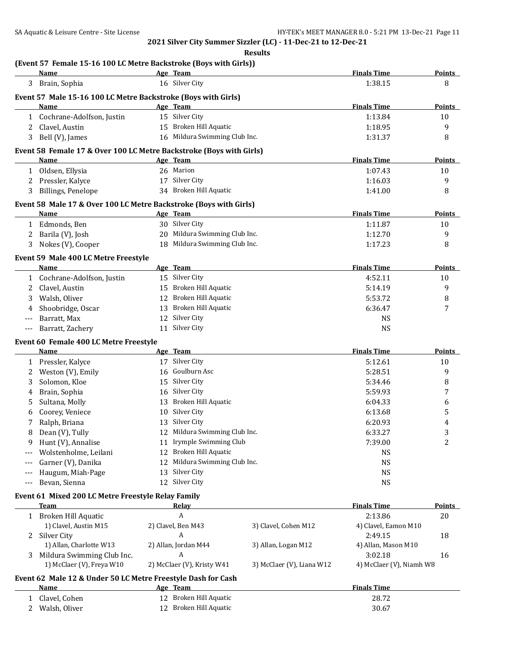| Results |
|---------|
|---------|

# **(Event 57 Female 15-16 100 LC Metre Backstroke (Boys with Girls))**

|       | <b>Name</b>                                                         |    | Age Team                      |                           | <b>Finals Time</b>       | <b>Points</b>    |
|-------|---------------------------------------------------------------------|----|-------------------------------|---------------------------|--------------------------|------------------|
| 3     | Brain, Sophia                                                       |    | 16 Silver City                |                           | 1:38.15                  | 8                |
|       | Event 57 Male 15-16 100 LC Metre Backstroke (Boys with Girls)       |    |                               |                           |                          |                  |
|       | <b>Name</b>                                                         |    | Age Team                      |                           | <b>Finals Time</b>       | <b>Points</b>    |
|       | 1 Cochrane-Adolfson, Justin                                         |    | 15 Silver City                |                           | 1:13.84                  | 10               |
| 2     | Clavel, Austin                                                      |    | 15 Broken Hill Aquatic        |                           | 1:18.95                  | 9                |
| 3     | Bell (V), James                                                     |    | 16 Mildura Swimming Club Inc. |                           | 1:31.37                  | 8                |
|       | Event 58 Female 17 & Over 100 LC Metre Backstroke (Boys with Girls) |    |                               |                           |                          |                  |
|       | Name                                                                |    | Age Team                      |                           | <b>Finals Time</b>       | <b>Points</b>    |
| 1     | Oldsen, Ellysia                                                     |    | 26 Marion                     |                           | 1:07.43                  | 10               |
| 2     | Pressler, Kalyce                                                    |    | 17 Silver City                |                           | 1:16.03                  | 9                |
| 3     | Billings, Penelope                                                  |    | 34 Broken Hill Aquatic        |                           | 1:41.00                  | 8                |
|       |                                                                     |    |                               |                           |                          |                  |
|       | Event 58 Male 17 & Over 100 LC Metre Backstroke (Boys with Girls)   |    |                               |                           |                          |                  |
|       | Name                                                                |    | Age Team                      |                           | <b>Finals Time</b>       | <b>Points</b>    |
| 1     | Edmonds, Ben                                                        |    | 30 Silver City                |                           | 1:11.87                  | 10               |
| 2     | Barila (V), Josh                                                    |    | 20 Mildura Swimming Club Inc. |                           | 1:12.70                  | 9                |
| 3     | Nokes (V), Cooper                                                   |    | 18 Mildura Swimming Club Inc. |                           | 1:17.23                  | 8                |
|       | Event 59 Male 400 LC Metre Freestyle                                |    |                               |                           |                          |                  |
|       | Name                                                                |    | Age Team                      |                           | <b>Finals Time</b>       | <b>Points</b>    |
| 1     | Cochrane-Adolfson, Justin                                           |    | 15 Silver City                |                           | 4:52.11                  | 10               |
| 2     | Clavel, Austin                                                      |    | 15 Broken Hill Aquatic        |                           | 5:14.19                  | 9                |
|       | Walsh, Oliver                                                       |    | 12 Broken Hill Aquatic        |                           | 5:53.72                  | 8                |
|       | Shoobridge, Oscar                                                   |    | 13 Broken Hill Aquatic        |                           | 6:36.47                  | 7                |
|       | Barratt, Max                                                        |    | 12 Silver City                |                           | <b>NS</b>                |                  |
| $---$ | Barratt, Zachery                                                    | 11 | Silver City                   |                           | <b>NS</b>                |                  |
|       | Event 60 Female 400 LC Metre Freestyle                              |    |                               |                           |                          |                  |
|       | Name                                                                |    | Age Team                      |                           | <b>Finals Time</b>       | Points           |
| 1     | Pressler, Kalyce                                                    |    | 17 Silver City                |                           | 5:12.61                  | 10               |
| 2     | Weston (V), Emily                                                   | 16 | Goulburn Asc                  |                           | 5:28.51                  | 9                |
| 3     | Solomon, Kloe                                                       |    | 15 Silver City                |                           | 5:34.46                  | 8                |
| 4     | Brain, Sophia                                                       | 16 | Silver City                   |                           | 5:59.93                  | 7                |
| 5     | Sultana, Molly                                                      |    | 13 Broken Hill Aquatic        |                           | 6:04.33                  | 6                |
| 6     | Coorey, Veniece                                                     |    | 10 Silver City                |                           | 6:13.68                  | 5                |
| 7     | Ralph, Briana                                                       |    | 13 Silver City                |                           | 6:20.93                  | 4                |
| 8     | Dean (V), Tully                                                     |    | 12 Mildura Swimming Club Inc. |                           | 6:33.27                  | 3                |
| 9     | Hunt (V), Annalise                                                  |    | 11 Irymple Swimming Club      |                           | 7:39.00                  | $\boldsymbol{2}$ |
|       | Wolstenholme, Leilani                                               |    | 12 Broken Hill Aquatic        |                           | <b>NS</b>                |                  |
|       | Garner (V), Danika                                                  | 12 | Mildura Swimming Club Inc.    |                           | <b>NS</b>                |                  |
|       | Haugum, Miah-Page                                                   | 13 | Silver City                   |                           | <b>NS</b>                |                  |
| $---$ | Bevan, Sienna                                                       |    | 12 Silver City                |                           | <b>NS</b>                |                  |
|       | Event 61 Mixed 200 LC Metre Freestyle Relay Family                  |    |                               |                           |                          |                  |
|       | <b>Team</b>                                                         |    | Relay                         |                           | <b>Finals Time</b>       | Points           |
| 1     | Broken Hill Aquatic                                                 |    | А                             |                           | 2:13.86                  | 20               |
|       | 1) Clavel, Austin M15                                               |    | 2) Clavel, Ben M43            | 3) Clavel, Cohen M12      | 4) Clavel, Eamon M10     |                  |
|       | 2 Silver City                                                       |    | A                             |                           | 2:49.15                  | 18               |
|       | 1) Allan, Charlotte W13                                             |    | 2) Allan, Jordan M44          | 3) Allan, Logan M12       | 4) Allan, Mason M10      |                  |
| 3     | Mildura Swimming Club Inc.                                          |    | A                             |                           | 3:02.18                  | 16               |
|       | 1) McClaer (V), Freya W10                                           |    | 2) McClaer (V), Kristy W41    | 3) McClaer (V), Liana W12 | 4) McClaer (V), Niamh W8 |                  |

## **Event 62 Male 12 & Under 50 LC Metre Freestyle Dash for Cash**

| Name          | Age Team               | <b>Finals Time</b> |
|---------------|------------------------|--------------------|
| Clavel, Cohen | 12 Broken Hill Aquatic | 28.72              |
| Walsh, Oliver | 12 Broken Hill Aquatic | 30.67              |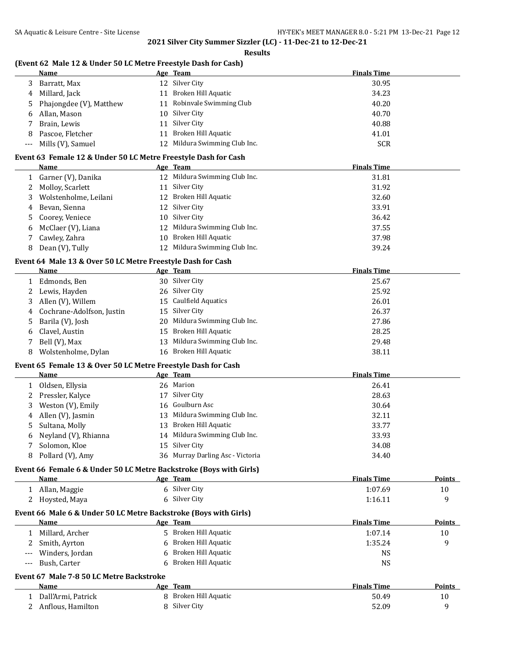## **Results**

# **(Event 62 Male 12 & Under 50 LC Metre Freestyle Dash for Cash)**

|    | Name                    |    | Age Team                      | <b>Finals Time</b> |
|----|-------------------------|----|-------------------------------|--------------------|
|    | Barratt, Max            |    | 12 Silver City                | 30.95              |
| 4  | Millard, Jack           | 11 | Broken Hill Aquatic           | 34.23              |
| 5. | Phajongdee (V), Matthew |    | 11 Robinvale Swimming Club    | 40.20              |
|    | 6 Allan, Mason          |    | 10 Silver City                | 40.70              |
|    | Brain, Lewis            |    | 11 Silver City                | 40.88              |
| 8  | Pascoe, Fletcher        | 11 | Broken Hill Aquatic           | 41.01              |
|    | --- Mills (V), Samuel   |    | 12 Mildura Swimming Club Inc. | <b>SCR</b>         |

## **Event 63 Female 12 & Under 50 LC Metre Freestyle Dash for Cash**

|   | Name                    | Age Team                      | <b>Finals Time</b> |
|---|-------------------------|-------------------------------|--------------------|
|   | 1 Garner (V), Danika    | 12 Mildura Swimming Club Inc. | 31.81              |
|   | 2 Molloy, Scarlett      | 11 Silver City                | 31.92              |
|   | 3 Wolstenholme, Leilani | 12 Broken Hill Aquatic        | 32.60              |
|   | 4 Bevan, Sienna         | 12 Silver City                | 33.91              |
|   | 5 Coorey, Veniece       | 10 Silver City                | 36.42              |
|   | 6 McClaer (V), Liana    | 12 Mildura Swimming Club Inc. | 37.55              |
|   | 7 Cawley, Zahra         | 10 Broken Hill Aquatic        | 37.98              |
| 8 | Dean (V), Tully         | 12 Mildura Swimming Club Inc. | 39.24              |

## **Event 64 Male 13 & Over 50 LC Metre Freestyle Dash for Cash**

|   | Name                        |    | Age Team                      | <b>Finals Time</b> |
|---|-----------------------------|----|-------------------------------|--------------------|
|   | Edmonds, Ben                |    | 30 Silver City                | 25.67              |
|   | 2 Lewis, Hayden             |    | 26 Silver City                | 25.92              |
|   | 3 Allen (V), Willem         |    | 15 Caulfield Aquatics         | 26.01              |
|   | 4 Cochrane-Adolfson, Justin |    | 15 Silver City                | 26.37              |
|   | 5 Barila (V), Josh          |    | 20 Mildura Swimming Club Inc. | 27.86              |
|   | 6 Clavel, Austin            |    | 15 Broken Hill Aquatic        | 28.25              |
|   | 7 Bell (V), Max             | 13 | Mildura Swimming Club Inc.    | 29.48              |
| 8 | Wolstenholme, Dylan         |    | 16 Broken Hill Aquatic        | 38.11              |

#### **Event 65 Female 13 & Over 50 LC Metre Freestyle Dash for Cash**

|   | Name                   |    | Age Team                         | <b>Finals Time</b> |
|---|------------------------|----|----------------------------------|--------------------|
|   | Oldsen, Ellysia        |    | 26 Marion                        | 26.41              |
|   | 2 Pressler, Kalyce     | 17 | Silver City                      | 28.63              |
|   | 3 Weston (V), Emily    |    | 16 Goulburn Asc                  | 30.64              |
|   | 4 Allen (V), Jasmin    |    | 13 Mildura Swimming Club Inc.    | 32.11              |
|   | 5 Sultana, Molly       |    | 13 Broken Hill Aquatic           | 33.77              |
|   | 6 Neyland (V), Rhianna |    | 14 Mildura Swimming Club Inc.    | 33.93              |
|   | Solomon, Kloe          |    | 15 Silver City                   | 34.08              |
| 8 | Pollard (V), Amy       |    | 36 Murray Darling Asc - Victoria | 34.40              |

### **Event 66 Female 6 & Under 50 LC Metre Backstroke (Boys with Girls)**

| <b>Name</b>                                                                                                                     | Age Team      | <b>Finals Time</b> | <b>Points</b> |  |  |
|---------------------------------------------------------------------------------------------------------------------------------|---------------|--------------------|---------------|--|--|
| Allan, Maggie                                                                                                                   | 6 Silver City | 1:07.69            | 10            |  |  |
| 2 Hoysted, Maya                                                                                                                 | 6 Silver City | 1:16.11            |               |  |  |
| <b>B</b> <i>issaul sou</i> l watching the find the film of the model of the model of the model of the model of the model of the |               |                    |               |  |  |

#### **Event 66 Male 6 & Under 50 LC Metre Backstroke (Boys with Girls)**

|       | <b>Name</b>     | Age | <b>Team</b>           | <b>Finals Time</b> | Points |
|-------|-----------------|-----|-----------------------|--------------------|--------|
|       | Millard, Archer |     | 5 Broken Hill Aquatic | 1:07.14            | 10     |
|       | 2 Smith, Ayrton |     | Broken Hill Aquatic   | 1:35.24            |        |
| $---$ | Winders, Jordan |     | 6 Broken Hill Aquatic | NS                 |        |
| $---$ | Bush, Carter    |     | Broken Hill Aquatic   | NS                 |        |

## **Event 67 Male 7-8 50 LC Metre Backstroke**

| Name               | Age Team              | <b>Finals Time</b> | <b>Points</b> |
|--------------------|-----------------------|--------------------|---------------|
| Dall'Armi, Patrick | 8 Broken Hill Aquatic | 50.49              | 10            |
| Anflous. Hamilton  | 8 Silver City         | 52.09              |               |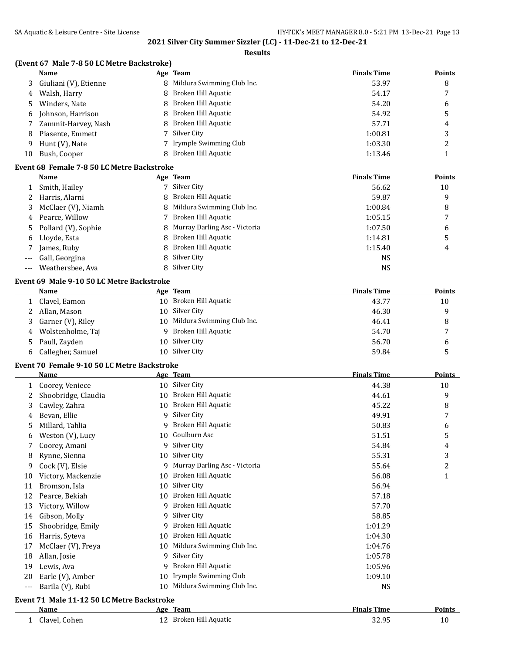### **Results**

# **(Event 67 Male 7-8 50 LC Metre Backstroke)**

|    | Name                    | Age Team                     | <b>Finals Time</b> | <b>Points</b> |
|----|-------------------------|------------------------------|--------------------|---------------|
|    | 3 Giuliani (V), Etienne | 8 Mildura Swimming Club Inc. | 53.97              | 8             |
| 4  | Walsh, Harry            | 8 Broken Hill Aquatic        | 54.17              |               |
|    | 5 Winders, Nate         | 8 Broken Hill Aquatic        | 54.20              | 6             |
| 6  | Johnson, Harrison       | 8 Broken Hill Aquatic        | 54.92              |               |
|    | Zammit-Harvey, Nash     | 8 Broken Hill Aquatic        | 57.71              | 4             |
| 8  | Piasente, Emmett        | 7 Silver City                | 1:00.81            | 3             |
| 9  | Hunt (V), Nate          | 7 Irymple Swimming Club      | 1:03.30            |               |
| 10 | Bush, Cooper            | Broken Hill Aquatic          | 1:13.46            |               |

# **Event 68 Female 7-8 50 LC Metre Backstroke**

|       | Name                  |   | Age Team                        | <b>Finals Time</b> | <b>Points</b> |
|-------|-----------------------|---|---------------------------------|--------------------|---------------|
|       | Smith, Hailey         | 7 | Silver City                     | 56.62              | 10            |
|       | Harris, Alarni        |   | 8 Broken Hill Aquatic           | 59.87              | 9             |
| 3     | McClaer (V), Niamh    |   | 8 Mildura Swimming Club Inc.    | 1:00.84            | 8             |
| 4     | Pearce, Willow        |   | Broken Hill Aquatic             | 1:05.15            |               |
|       | 5 Pollard (V), Sophie |   | 8 Murray Darling Asc - Victoria | 1:07.50            | 6             |
| 6     | Lloyde, Esta          |   | 8 Broken Hill Aquatic           | 1:14.81            | 5             |
|       | James, Ruby           |   | 8 Broken Hill Aquatic           | 1:15.40            | 4             |
| $---$ | Gall, Georgina        |   | 8 Silver City                   | NS                 |               |
|       | --- Weathersbee, Ava  |   | 8 Silver City                   | NS                 |               |

## **Event 69 Male 9-10 50 LC Metre Backstroke**

| Name                |   | Age Team                      | <b>Finals Time</b> | <b>Points</b> |
|---------------------|---|-------------------------------|--------------------|---------------|
| 1 Clavel, Eamon     |   | 10 Broken Hill Aquatic        | 43.77              | 10            |
| 2 Allan, Mason      |   | 10 Silver City                | 46.30              | q             |
| 3 Garner (V), Riley |   | 10 Mildura Swimming Club Inc. | 46.41              |               |
| 4 Wolstenholme, Taj | Q | Broken Hill Aquatic           | 54.70              | 7             |
| 5 Paull, Zayden     |   | 10 Silver City                | 56.70              | h             |
| 6 Callegher, Samuel |   | 10 Silver City                | 59.84              |               |

## **Event 70 Female 9-10 50 LC Metre Backstroke**

|     | <b>Name</b>                                |    | Age Team                      | <b>Finals Time</b> | <b>Points</b> |
|-----|--------------------------------------------|----|-------------------------------|--------------------|---------------|
| 1   | Coorey, Veniece                            | 10 | Silver City                   | 44.38              | 10            |
| 2   | Shoobridge, Claudia                        | 10 | Broken Hill Aquatic           | 44.61              | 9             |
| 3   | Cawley, Zahra                              | 10 | Broken Hill Aquatic           | 45.22              | 8             |
| 4   | Bevan, Ellie                               | 9  | Silver City                   | 49.91              | 7             |
| 5   | Millard, Tahlia                            | 9  | Broken Hill Aquatic           | 50.83              | 6             |
| 6   | Weston (V), Lucy                           | 10 | Goulburn Asc                  | 51.51              | 5             |
|     | Coorey, Amani                              | 9  | Silver City                   | 54.84              | 4             |
| 8   | Rynne, Sienna                              | 10 | Silver City                   | 55.31              | 3             |
| 9   | Cock (V), Elsie                            | 9  | Murray Darling Asc - Victoria | 55.64              | 2             |
| 10  | Victory, Mackenzie                         | 10 | Broken Hill Aquatic           | 56.08              | $\mathbf{1}$  |
| 11  | Bromson, Isla                              | 10 | Silver City                   | 56.94              |               |
| 12  | Pearce, Bekiah                             | 10 | Broken Hill Aquatic           | 57.18              |               |
| 13  | Victory, Willow                            | 9  | Broken Hill Aquatic           | 57.70              |               |
| 14  | Gibson, Molly                              | 9  | Silver City                   | 58.85              |               |
| 15  | Shoobridge, Emily                          | 9  | Broken Hill Aquatic           | 1:01.29            |               |
| 16  | Harris, Syteva                             | 10 | Broken Hill Aquatic           | 1:04.30            |               |
| 17  | McClaer (V), Freya                         | 10 | Mildura Swimming Club Inc.    | 1:04.76            |               |
| 18  | Allan, Josie                               | 9  | Silver City                   | 1:05.78            |               |
| 19  | Lewis, Ava                                 | 9  | Broken Hill Aquatic           | 1:05.96            |               |
| 20  | Earle (V), Amber                           | 10 | Irymple Swimming Club         | 1:09.10            |               |
| --- | Barila (V), Rubi                           | 10 | Mildura Swimming Club Inc.    | <b>NS</b>          |               |
|     | Event 71 Male 11-12 50 LC Metre Backstroke |    |                               |                    |               |
|     | Name                                       |    | Age Team                      | <b>Finals Time</b> | <b>Points</b> |
| 1   | Clavel, Cohen                              |    | 12 Broken Hill Aquatic        | 32.95              | 10            |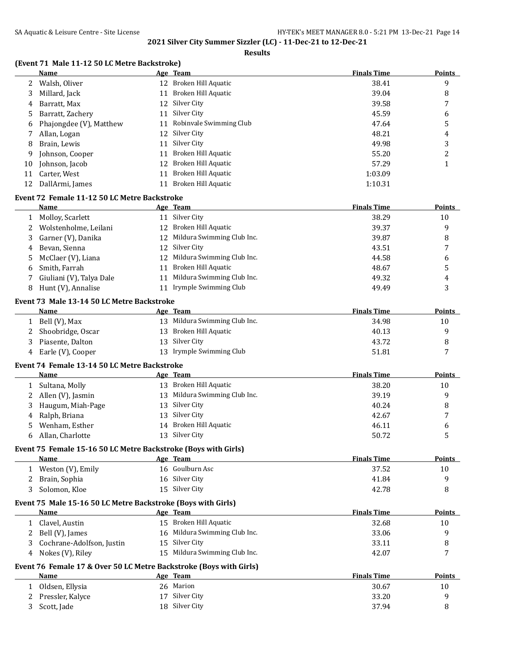### **Results**

# **(Event 71 Male 11-12 50 LC Metre Backstroke)**

|    | Name                                         |    | Age Team                   | <b>Finals Time</b> | <b>Points</b> |
|----|----------------------------------------------|----|----------------------------|--------------------|---------------|
|    | Walsh, Oliver                                | 12 | Broken Hill Aquatic        | 38.41              | 9             |
| 3  | Millard, Jack                                | 11 | Broken Hill Aquatic        | 39.04              | 8             |
| 4  | Barratt, Max                                 | 12 | Silver City                | 39.58              | 7             |
| 5. | Barratt, Zachery                             | 11 | Silver City                | 45.59              | 6             |
| 6  | Phajongdee (V), Matthew                      | 11 | Robinvale Swimming Club    | 47.64              | 5             |
|    | Allan, Logan                                 | 12 | Silver City                | 48.21              | 4             |
| 8  | Brain, Lewis                                 | 11 | Silver City                | 49.98              | 3             |
| 9  | Johnson, Cooper                              | 11 | Broken Hill Aquatic        | 55.20              | 2             |
| 10 | Johnson, Jacob                               | 12 | Broken Hill Aquatic        | 57.29              |               |
| 11 | Carter, West                                 | 11 | Broken Hill Aquatic        | 1:03.09            |               |
| 12 | DallArmi, James                              | 11 | Broken Hill Aquatic        | 1:10.31            |               |
|    | Event 72 Female 11-12 50 LC Metre Backstroke |    |                            |                    |               |
|    | Name                                         |    | Age Team                   | <b>Finals Time</b> | <b>Points</b> |
|    | Molloy, Scarlett                             | 11 | Silver City                | 38.29              | 10            |
|    | Wolstenholme, Leilani                        | 12 | Broken Hill Aquatic        | 39.37              | 9             |
| 3  | Garner (V), Danika                           | 12 | Mildura Swimming Club Inc. | 39.87              | 8             |

|    | Bevan, Sienna            | 12 Silver City                | 43.51 |   |
|----|--------------------------|-------------------------------|-------|---|
|    | 5 McClaer (V), Liana     | 12 Mildura Swimming Club Inc. | 44.58 |   |
| 6. | Smith. Farrah            | Broken Hill Aquatic           | 48.67 |   |
|    | Giuliani (V), Talya Dale | 11 Mildura Swimming Club Inc. | 49.32 | 4 |
|    | Hunt (V), Annalise       | Irymple Swimming Club         | 49.49 |   |
|    |                          |                               |       |   |

## **Event 73 Male 13-14 50 LC Metre Backstroke**

| <b>Name</b>         | Age Team                      | <b>Finals Time</b> | Points |
|---------------------|-------------------------------|--------------------|--------|
| Bell (V), Max       | 13 Mildura Swimming Club Inc. | 34.98              | 10     |
| 2 Shoobridge, Oscar | 13 Broken Hill Aquatic        | 40.13              |        |
| Piasente, Dalton    | 13 Silver City                | 43.72              |        |
| Earle (V), Cooper   | 13 Irymple Swimming Club      | 51.81              |        |
|                     |                               |                    |        |

## **Event 74 Female 13-14 50 LC Metre Backstroke**

|    | Name                |    | Age Team                      | <b>Finals Time</b> | <b>Points</b> |
|----|---------------------|----|-------------------------------|--------------------|---------------|
|    | Sultana, Molly      | 13 | Broken Hill Aquatic           | 38.20              | 10            |
|    | 2 Allen (V), Jasmin |    | 13 Mildura Swimming Club Inc. | 39.19              |               |
| 3  | Haugum, Miah-Page   |    | 13 Silver City                | 40.24              |               |
| 4  | Ralph, Briana       |    | 13 Silver City                | 42.67              | 7             |
| 5. | Wenham, Esther      |    | 14 Broken Hill Aquatic        | 46.11              |               |
|    | Allan, Charlotte    |    | 13 Silver City                | 50.72              |               |

## **Event 75 Female 15-16 50 LC Metre Backstroke (Boys with Girls)**

| Name              | Age Team        | <b>Finals Time</b> | <b>Points</b> |
|-------------------|-----------------|--------------------|---------------|
| Weston (V), Emily | 16 Goulburn Asc | 37.52              | 10            |
| Brain, Sophia     | 16 Silver City  | 41.84              |               |
| Solomon, Kloe     | 15 Silver City  | 42.78              |               |

## **Event 75 Male 15-16 50 LC Metre Backstroke (Boys with Girls)**

| Name                        | Age Team                      | <b>Finals Time</b> | <b>Points</b> |
|-----------------------------|-------------------------------|--------------------|---------------|
| Clavel, Austin              | 15 Broken Hill Aquatic        | 32.68              | 10            |
| 2 Bell (V), James           | 16 Mildura Swimming Club Inc. | 33.06              |               |
| 3 Cochrane-Adolfson, Justin | 15 Silver City                | 33.11              |               |
| 4 Nokes (V), Riley          | 15 Mildura Swimming Club Inc. | 42.07              | -             |

# **Event 76 Female 17 & Over 50 LC Metre Backstroke (Boys with Girls)**

| Name               | Age Team       | <b>Finals Time</b> | Points |
|--------------------|----------------|--------------------|--------|
| Oldsen, Ellysia    | 26 Marion      | 30.67              | 10     |
| 2 Pressler, Kalyce | 17 Silver City | 33.20              |        |
| Scott, Jade        | 18 Silver City | 37.94              |        |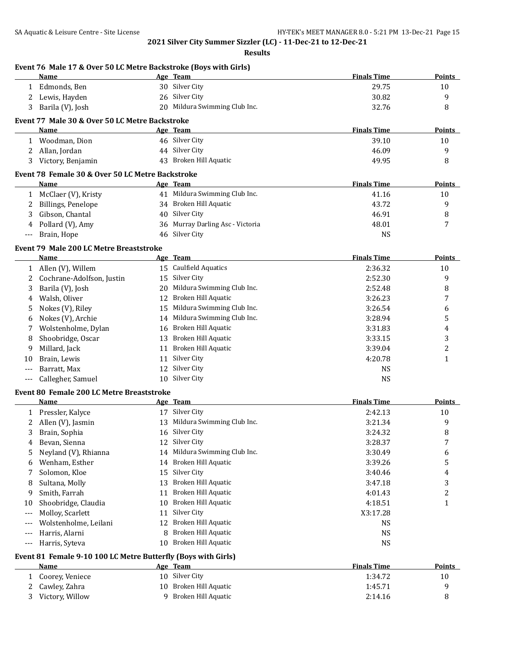|              | SA Aquatic & Leisure Centre - Site License                       |    |                                                                                 | HY-TEK's MEET MANAGER 8.0 - 5:21 PM 13-Dec-21 Page 15 |                |
|--------------|------------------------------------------------------------------|----|---------------------------------------------------------------------------------|-------------------------------------------------------|----------------|
|              |                                                                  |    | 2021 Silver City Summer Sizzler (LC) - 11-Dec-21 to 12-Dec-21<br><b>Results</b> |                                                       |                |
|              | Event 76 Male 17 & Over 50 LC Metre Backstroke (Boys with Girls) |    |                                                                                 |                                                       |                |
|              | Name                                                             |    | Age Team<br>30 Silver City                                                      | <b>Finals Time</b>                                    | Points         |
|              | 1 Edmonds, Ben                                                   |    |                                                                                 | 29.75                                                 | 10             |
| 2            | Lewis, Hayden                                                    |    | 26 Silver City<br>20 Mildura Swimming Club Inc.                                 | 30.82<br>32.76                                        | 9              |
| 3            | Barila (V), Josh                                                 |    |                                                                                 |                                                       | 8              |
|              | Event 77 Male 30 & Over 50 LC Metre Backstroke                   |    |                                                                                 |                                                       |                |
|              | Name                                                             |    | Age Team                                                                        | <b>Finals Time</b>                                    | Points         |
| 1            | Woodman, Dion                                                    |    | 46 Silver City                                                                  | 39.10                                                 | 10             |
| 2            | Allan, Jordan<br>Victory, Benjamin                               |    | 44 Silver City<br>43 Broken Hill Aquatic                                        | 46.09                                                 | 9              |
| 3            |                                                                  |    |                                                                                 | 49.95                                                 | 8              |
|              | Event 78 Female 30 & Over 50 LC Metre Backstroke                 |    |                                                                                 |                                                       |                |
|              | <b>Name</b>                                                      |    | Age Team                                                                        | <b>Finals Time</b>                                    | <b>Points</b>  |
|              | 1 McClaer (V), Kristy                                            |    | 41 Mildura Swimming Club Inc.<br>34 Broken Hill Aquatic                         | 41.16                                                 | 10             |
|              | Billings, Penelope                                               |    |                                                                                 | 43.72                                                 | 9              |
| 3            | Gibson, Chantal                                                  |    | 40 Silver City<br>36 Murray Darling Asc - Victoria                              | 46.91<br>48.01                                        | 8<br>7         |
| 4            | Pollard (V), Amy<br>Brain, Hope                                  |    | 46 Silver City                                                                  | <b>NS</b>                                             |                |
|              |                                                                  |    |                                                                                 |                                                       |                |
|              | Event 79 Male 200 LC Metre Breaststroke                          |    |                                                                                 |                                                       |                |
|              | Name                                                             |    | Age Team                                                                        | <b>Finals Time</b>                                    | <b>Points</b>  |
|              | 1 Allen (V), Willem                                              |    | 15 Caulfield Aquatics<br>15 Silver City                                         | 2:36.32                                               | 10             |
| 2            | Cochrane-Adolfson, Justin                                        |    | 20 Mildura Swimming Club Inc.                                                   | 2:52.30                                               | 9              |
| 3            | Barila (V), Josh<br>Walsh, Oliver                                |    | 12 Broken Hill Aquatic                                                          | 2:52.48<br>3:26.23                                    | 8              |
| 4            |                                                                  |    | Mildura Swimming Club Inc.                                                      |                                                       | 7              |
| 5            | Nokes (V), Riley                                                 | 15 | Mildura Swimming Club Inc.                                                      | 3:26.54                                               | 6              |
| 6<br>7       | Nokes (V), Archie<br>Wolstenholme, Dylan                         | 14 | 16 Broken Hill Aquatic                                                          | 3:28.94<br>3:31.83                                    | 5<br>4         |
| 8            | Shoobridge, Oscar                                                |    | 13 Broken Hill Aquatic                                                          | 3:33.15                                               | 3              |
| 9            | Millard, Jack                                                    | 11 | Broken Hill Aquatic                                                             | 3:39.04                                               | $\overline{c}$ |
| 10           | Brain, Lewis                                                     | 11 | Silver City                                                                     | 4:20.78                                               | $\mathbf{1}$   |
| $---$        | Barratt, Max                                                     |    | 12 Silver City                                                                  | <b>NS</b>                                             |                |
|              | Callegher, Samuel                                                |    | 10 Silver City                                                                  | <b>NS</b>                                             |                |
|              |                                                                  |    |                                                                                 |                                                       |                |
|              | Event 80 Female 200 LC Metre Breaststroke<br><b>Name</b>         |    | Age Team                                                                        | <b>Finals Time</b>                                    | <b>Points</b>  |
| $\mathbf{1}$ | Pressler, Kalyce                                                 |    | 17 Silver City                                                                  | 2:42.13                                               | 10             |
| 2            | Allen (V), Jasmin                                                | 13 | Mildura Swimming Club Inc.                                                      | 3:21.34                                               | 9              |
| 3            | Brain, Sophia                                                    | 16 | Silver City                                                                     | 3:24.32                                               | 8              |
| 4            | Bevan, Sienna                                                    | 12 | Silver City                                                                     | 3:28.37                                               | 7              |
| 5            | Neyland (V), Rhianna                                             | 14 | Mildura Swimming Club Inc.                                                      | 3:30.49                                               | 6              |
| 6            | Wenham, Esther                                                   | 14 | Broken Hill Aquatic                                                             | 3:39.26                                               | 5              |
| 7            | Solomon, Kloe                                                    | 15 | Silver City                                                                     | 3:40.46                                               | 4              |
| 8            | Sultana, Molly                                                   | 13 | Broken Hill Aquatic                                                             | 3:47.18                                               | 3              |
| 9            | Smith, Farrah                                                    | 11 | Broken Hill Aquatic                                                             | 4:01.43                                               | 2              |
| 10           | Shoobridge, Claudia                                              | 10 | Broken Hill Aquatic                                                             | 4:18.51                                               | $\mathbf{1}$   |
| $---$        | Molloy, Scarlett                                                 | 11 | Silver City                                                                     | X3:17.28                                              |                |
| ---          | Wolstenholme, Leilani                                            | 12 | Broken Hill Aquatic                                                             | <b>NS</b>                                             |                |
| ---          | Harris, Alarni                                                   | 8  | Broken Hill Aquatic                                                             | <b>NS</b>                                             |                |
| $---$        | Harris, Syteva                                                   |    | 10 Broken Hill Aquatic                                                          | <b>NS</b>                                             |                |
|              | Event 81 Female 9-10 100 LC Metre Butterfly (Boys with Girls)    |    |                                                                                 |                                                       |                |
|              | Name                                                             |    | Age Team                                                                        | <b>Finals Time</b>                                    | Points         |
| 1            | Coorey, Veniece                                                  |    | 10 Silver City                                                                  | 1:34.72                                               | 10             |
| 2            | Cawley, Zahra                                                    |    | 10 Broken Hill Aquatic                                                          | 1:45.71                                               | 9              |
|              | Victory, Willow                                                  |    | 9 Broken Hill Aquatic                                                           | 2:14.16                                               | 8              |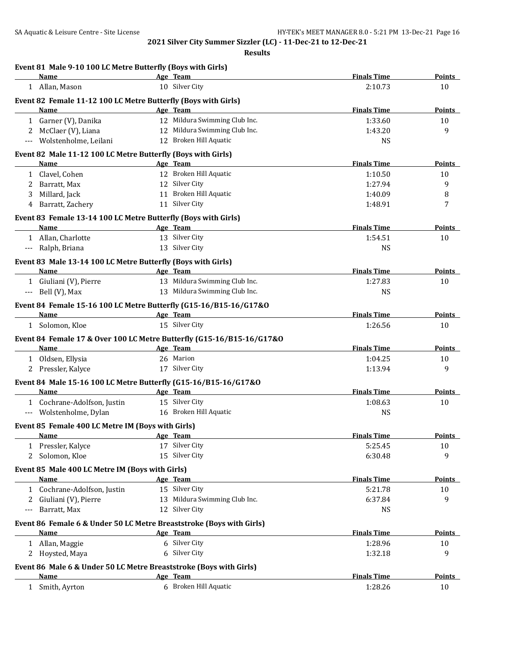|                               | <b>Finals Time</b>                                                                                                                                                                                                                                                                                                                                                                                                                                                                                                                                                                                                                                                                                                                                                                                                                                                                                                                                                                                                                                                                      | Points                                                                                                                                                                       |
|-------------------------------|-----------------------------------------------------------------------------------------------------------------------------------------------------------------------------------------------------------------------------------------------------------------------------------------------------------------------------------------------------------------------------------------------------------------------------------------------------------------------------------------------------------------------------------------------------------------------------------------------------------------------------------------------------------------------------------------------------------------------------------------------------------------------------------------------------------------------------------------------------------------------------------------------------------------------------------------------------------------------------------------------------------------------------------------------------------------------------------------|------------------------------------------------------------------------------------------------------------------------------------------------------------------------------|
| 10 Silver City                | 2:10.73                                                                                                                                                                                                                                                                                                                                                                                                                                                                                                                                                                                                                                                                                                                                                                                                                                                                                                                                                                                                                                                                                 | 10                                                                                                                                                                           |
|                               |                                                                                                                                                                                                                                                                                                                                                                                                                                                                                                                                                                                                                                                                                                                                                                                                                                                                                                                                                                                                                                                                                         |                                                                                                                                                                              |
|                               | <b>Finals Time</b>                                                                                                                                                                                                                                                                                                                                                                                                                                                                                                                                                                                                                                                                                                                                                                                                                                                                                                                                                                                                                                                                      | <b>Points</b>                                                                                                                                                                |
|                               |                                                                                                                                                                                                                                                                                                                                                                                                                                                                                                                                                                                                                                                                                                                                                                                                                                                                                                                                                                                                                                                                                         | 10                                                                                                                                                                           |
|                               |                                                                                                                                                                                                                                                                                                                                                                                                                                                                                                                                                                                                                                                                                                                                                                                                                                                                                                                                                                                                                                                                                         | 9                                                                                                                                                                            |
| 12 Broken Hill Aquatic        | <b>NS</b>                                                                                                                                                                                                                                                                                                                                                                                                                                                                                                                                                                                                                                                                                                                                                                                                                                                                                                                                                                                                                                                                               |                                                                                                                                                                              |
|                               |                                                                                                                                                                                                                                                                                                                                                                                                                                                                                                                                                                                                                                                                                                                                                                                                                                                                                                                                                                                                                                                                                         |                                                                                                                                                                              |
| Age Team                      | <b>Finals Time</b>                                                                                                                                                                                                                                                                                                                                                                                                                                                                                                                                                                                                                                                                                                                                                                                                                                                                                                                                                                                                                                                                      | <b>Points</b>                                                                                                                                                                |
| 12 Broken Hill Aquatic        | 1:10.50                                                                                                                                                                                                                                                                                                                                                                                                                                                                                                                                                                                                                                                                                                                                                                                                                                                                                                                                                                                                                                                                                 | 10                                                                                                                                                                           |
| 12 Silver City                | 1:27.94                                                                                                                                                                                                                                                                                                                                                                                                                                                                                                                                                                                                                                                                                                                                                                                                                                                                                                                                                                                                                                                                                 | 9                                                                                                                                                                            |
| 11 Broken Hill Aquatic        | 1:40.09                                                                                                                                                                                                                                                                                                                                                                                                                                                                                                                                                                                                                                                                                                                                                                                                                                                                                                                                                                                                                                                                                 | 8                                                                                                                                                                            |
| 11 Silver City                | 1:48.91                                                                                                                                                                                                                                                                                                                                                                                                                                                                                                                                                                                                                                                                                                                                                                                                                                                                                                                                                                                                                                                                                 | 7                                                                                                                                                                            |
|                               |                                                                                                                                                                                                                                                                                                                                                                                                                                                                                                                                                                                                                                                                                                                                                                                                                                                                                                                                                                                                                                                                                         |                                                                                                                                                                              |
| Age Team                      | <b>Finals Time</b>                                                                                                                                                                                                                                                                                                                                                                                                                                                                                                                                                                                                                                                                                                                                                                                                                                                                                                                                                                                                                                                                      | <b>Points</b>                                                                                                                                                                |
| 13 Silver City                | 1:54.51                                                                                                                                                                                                                                                                                                                                                                                                                                                                                                                                                                                                                                                                                                                                                                                                                                                                                                                                                                                                                                                                                 | 10                                                                                                                                                                           |
| 13 Silver City                | <b>NS</b>                                                                                                                                                                                                                                                                                                                                                                                                                                                                                                                                                                                                                                                                                                                                                                                                                                                                                                                                                                                                                                                                               |                                                                                                                                                                              |
|                               |                                                                                                                                                                                                                                                                                                                                                                                                                                                                                                                                                                                                                                                                                                                                                                                                                                                                                                                                                                                                                                                                                         |                                                                                                                                                                              |
|                               | <b>Finals Time</b>                                                                                                                                                                                                                                                                                                                                                                                                                                                                                                                                                                                                                                                                                                                                                                                                                                                                                                                                                                                                                                                                      | Points                                                                                                                                                                       |
| 13 Mildura Swimming Club Inc. | 1:27.83                                                                                                                                                                                                                                                                                                                                                                                                                                                                                                                                                                                                                                                                                                                                                                                                                                                                                                                                                                                                                                                                                 | 10                                                                                                                                                                           |
| 13 Mildura Swimming Club Inc. | <b>NS</b>                                                                                                                                                                                                                                                                                                                                                                                                                                                                                                                                                                                                                                                                                                                                                                                                                                                                                                                                                                                                                                                                               |                                                                                                                                                                              |
|                               |                                                                                                                                                                                                                                                                                                                                                                                                                                                                                                                                                                                                                                                                                                                                                                                                                                                                                                                                                                                                                                                                                         |                                                                                                                                                                              |
| Age Team                      | <b>Finals Time</b>                                                                                                                                                                                                                                                                                                                                                                                                                                                                                                                                                                                                                                                                                                                                                                                                                                                                                                                                                                                                                                                                      | <b>Points</b>                                                                                                                                                                |
| 15 Silver City                | 1:26.56                                                                                                                                                                                                                                                                                                                                                                                                                                                                                                                                                                                                                                                                                                                                                                                                                                                                                                                                                                                                                                                                                 | 10                                                                                                                                                                           |
|                               |                                                                                                                                                                                                                                                                                                                                                                                                                                                                                                                                                                                                                                                                                                                                                                                                                                                                                                                                                                                                                                                                                         |                                                                                                                                                                              |
|                               | <b>Finals Time</b>                                                                                                                                                                                                                                                                                                                                                                                                                                                                                                                                                                                                                                                                                                                                                                                                                                                                                                                                                                                                                                                                      | Points                                                                                                                                                                       |
|                               |                                                                                                                                                                                                                                                                                                                                                                                                                                                                                                                                                                                                                                                                                                                                                                                                                                                                                                                                                                                                                                                                                         | 10                                                                                                                                                                           |
| 17 Silver City                | 1:13.94                                                                                                                                                                                                                                                                                                                                                                                                                                                                                                                                                                                                                                                                                                                                                                                                                                                                                                                                                                                                                                                                                 | 9                                                                                                                                                                            |
|                               |                                                                                                                                                                                                                                                                                                                                                                                                                                                                                                                                                                                                                                                                                                                                                                                                                                                                                                                                                                                                                                                                                         |                                                                                                                                                                              |
|                               | <b>Finals Time</b>                                                                                                                                                                                                                                                                                                                                                                                                                                                                                                                                                                                                                                                                                                                                                                                                                                                                                                                                                                                                                                                                      | Points                                                                                                                                                                       |
|                               |                                                                                                                                                                                                                                                                                                                                                                                                                                                                                                                                                                                                                                                                                                                                                                                                                                                                                                                                                                                                                                                                                         | 10                                                                                                                                                                           |
| 16 Broken Hill Aquatic        | <b>NS</b>                                                                                                                                                                                                                                                                                                                                                                                                                                                                                                                                                                                                                                                                                                                                                                                                                                                                                                                                                                                                                                                                               |                                                                                                                                                                              |
|                               |                                                                                                                                                                                                                                                                                                                                                                                                                                                                                                                                                                                                                                                                                                                                                                                                                                                                                                                                                                                                                                                                                         |                                                                                                                                                                              |
|                               |                                                                                                                                                                                                                                                                                                                                                                                                                                                                                                                                                                                                                                                                                                                                                                                                                                                                                                                                                                                                                                                                                         | <b>Points</b>                                                                                                                                                                |
|                               |                                                                                                                                                                                                                                                                                                                                                                                                                                                                                                                                                                                                                                                                                                                                                                                                                                                                                                                                                                                                                                                                                         | 10                                                                                                                                                                           |
| 15 Silver City                | 6:30.48                                                                                                                                                                                                                                                                                                                                                                                                                                                                                                                                                                                                                                                                                                                                                                                                                                                                                                                                                                                                                                                                                 | 9                                                                                                                                                                            |
|                               |                                                                                                                                                                                                                                                                                                                                                                                                                                                                                                                                                                                                                                                                                                                                                                                                                                                                                                                                                                                                                                                                                         |                                                                                                                                                                              |
|                               |                                                                                                                                                                                                                                                                                                                                                                                                                                                                                                                                                                                                                                                                                                                                                                                                                                                                                                                                                                                                                                                                                         | <b>Points</b>                                                                                                                                                                |
| 15 Silver City                |                                                                                                                                                                                                                                                                                                                                                                                                                                                                                                                                                                                                                                                                                                                                                                                                                                                                                                                                                                                                                                                                                         | 10                                                                                                                                                                           |
| 13 Mildura Swimming Club Inc. |                                                                                                                                                                                                                                                                                                                                                                                                                                                                                                                                                                                                                                                                                                                                                                                                                                                                                                                                                                                                                                                                                         | 9                                                                                                                                                                            |
| 12 Silver City                | <b>NS</b>                                                                                                                                                                                                                                                                                                                                                                                                                                                                                                                                                                                                                                                                                                                                                                                                                                                                                                                                                                                                                                                                               |                                                                                                                                                                              |
|                               |                                                                                                                                                                                                                                                                                                                                                                                                                                                                                                                                                                                                                                                                                                                                                                                                                                                                                                                                                                                                                                                                                         |                                                                                                                                                                              |
| Age Team                      | <b>Finals Time</b>                                                                                                                                                                                                                                                                                                                                                                                                                                                                                                                                                                                                                                                                                                                                                                                                                                                                                                                                                                                                                                                                      | <b>Points</b>                                                                                                                                                                |
|                               |                                                                                                                                                                                                                                                                                                                                                                                                                                                                                                                                                                                                                                                                                                                                                                                                                                                                                                                                                                                                                                                                                         | 10                                                                                                                                                                           |
| 6 Silver City                 |                                                                                                                                                                                                                                                                                                                                                                                                                                                                                                                                                                                                                                                                                                                                                                                                                                                                                                                                                                                                                                                                                         | 9                                                                                                                                                                            |
|                               |                                                                                                                                                                                                                                                                                                                                                                                                                                                                                                                                                                                                                                                                                                                                                                                                                                                                                                                                                                                                                                                                                         |                                                                                                                                                                              |
|                               |                                                                                                                                                                                                                                                                                                                                                                                                                                                                                                                                                                                                                                                                                                                                                                                                                                                                                                                                                                                                                                                                                         | Points                                                                                                                                                                       |
|                               |                                                                                                                                                                                                                                                                                                                                                                                                                                                                                                                                                                                                                                                                                                                                                                                                                                                                                                                                                                                                                                                                                         | 10                                                                                                                                                                           |
|                               | Event 81 Male 9-10 100 LC Metre Butterfly (Boys with Girls)<br>Age Team<br>Event 82 Female 11-12 100 LC Metre Butterfly (Boys with Girls)<br>Age Team<br>12 Mildura Swimming Club Inc.<br>12 Mildura Swimming Club Inc.<br>Event 82 Male 11-12 100 LC Metre Butterfly (Boys with Girls)<br>Event 83 Female 13-14 100 LC Metre Butterfly (Boys with Girls)<br>Event 83 Male 13-14 100 LC Metre Butterfly (Boys with Girls)<br><b>Example 2018 Age</b> Team<br>Event 84 Female 15-16 100 LC Metre Butterfly (G15-16/B15-16/G17&O<br>Event 84 Female 17 & Over 100 LC Metre Butterfly (G15-16/B15-16/G17&O<br>Age Team<br>26 Marion<br>Event 84 Male 15-16 100 LC Metre Butterfly (G15-16/B15-16/G17&O<br>Age Team<br>15 Silver City<br>Event 85 Female 400 LC Metre IM (Boys with Girls)<br>Age Team<br>17 Silver City<br>Event 85 Male 400 LC Metre IM (Boys with Girls)<br>Age Team<br>Event 86 Female 6 & Under 50 LC Metre Breaststroke (Boys with Girls)<br>6 Silver City<br>Event 86 Male 6 & Under 50 LC Metre Breaststroke (Boys with Girls)<br>Age Team<br>6 Broken Hill Aquatic | 1:33.60<br>1:43.20<br>1:04.25<br>1:08.63<br><b>Finals Time</b><br>5:25.45<br><b>Finals Time</b><br>5:21.78<br>6:37.84<br>1:28.96<br>1:32.18<br><b>Finals Time</b><br>1:28.26 |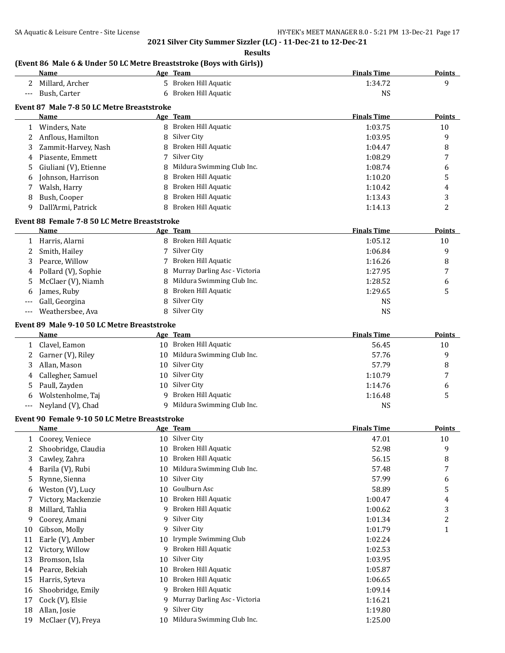**Results**

# **(Event 86 Male 6 & Under 50 LC Metre Breaststroke (Boys with Girls))**

|              | Name                                          |    | Age Team                           | <b>Finals Time</b> | <b>Points</b>  |
|--------------|-----------------------------------------------|----|------------------------------------|--------------------|----------------|
|              | 2 Millard, Archer                             | 5  | Broken Hill Aquatic                | 1:34.72            | 9              |
| $---$        | Bush, Carter                                  | 6  | Broken Hill Aquatic                | <b>NS</b>          |                |
|              | Event 87 Male 7-8 50 LC Metre Breaststroke    |    |                                    |                    |                |
|              | Name                                          |    | Age Team                           | <b>Finals Time</b> | Points         |
|              | 1 Winders, Nate                               |    | 8 Broken Hill Aquatic              | 1:03.75            | 10             |
| 2            | Anflous, Hamilton                             | 8  | Silver City                        | 1:03.95            | 9              |
|              |                                               | 8  | Broken Hill Aquatic                | 1:04.47            | 8              |
| 3            | Zammit-Harvey, Nash                           | 7  | Silver City                        |                    |                |
| 4            | Piasente, Emmett                              |    | Mildura Swimming Club Inc.         | 1:08.29            | 7              |
| 5            | Giuliani (V), Etienne                         | 8  |                                    | 1:08.74            | 6              |
| 6            | Johnson, Harrison                             | 8  | Broken Hill Aquatic                | 1:10.20            | 5              |
| 7            | Walsh, Harry                                  | 8  | Broken Hill Aquatic                | 1:10.42            | 4              |
| 8            | Bush, Cooper                                  | 8  | Broken Hill Aquatic                | 1:13.43            | 3              |
| 9            | Dall'Armi, Patrick                            | 8  | Broken Hill Aquatic                | 1:14.13            | 2              |
|              | Event 88 Female 7-8 50 LC Metre Breaststroke  |    |                                    |                    |                |
|              | Name                                          |    | Age Team                           | <b>Finals Time</b> | Points         |
|              | 1 Harris, Alarni                              |    | 8 Broken Hill Aquatic              | 1:05.12            | 10             |
| 2            | Smith, Hailey                                 | 7  | Silver City                        | 1:06.84            | 9              |
| 3            | Pearce, Willow                                | 7  | Broken Hill Aquatic                | 1:16.26            | 8              |
| 4            | Pollard (V), Sophie                           | 8  | Murray Darling Asc - Victoria      | 1:27.95            | 7              |
| 5            | McClaer (V), Niamh                            | 8  | Mildura Swimming Club Inc.         | 1:28.52            | 6              |
| 6            | James, Ruby                                   | 8  | Broken Hill Aquatic                | 1:29.65            | 5              |
|              | Gall, Georgina                                | 8  | Silver City                        | <b>NS</b>          |                |
| ---          | Weathersbee, Ava                              |    | 8 Silver City                      | <b>NS</b>          |                |
|              |                                               |    |                                    |                    |                |
|              | Event 89 Male 9-10 50 LC Metre Breaststroke   |    |                                    | <b>Finals Time</b> |                |
|              | Name                                          |    | Age Team<br>10 Broken Hill Aquatic |                    | Points         |
| $\mathbf{1}$ | Clavel, Eamon                                 |    |                                    | 56.45              | 10             |
| 2            | Garner (V), Riley                             |    | 10 Mildura Swimming Club Inc.      | 57.76              | 9              |
| 3            | Allan, Mason                                  | 10 | Silver City                        | 57.79              | 8              |
| 4            | Callegher, Samuel                             | 10 | Silver City                        | 1:10.79            | 7              |
| 5            | Paull, Zayden                                 | 10 | Silver City                        | 1:14.76            | 6              |
| 6            | Wolstenholme, Taj                             | 9  | Broken Hill Aquatic                | 1:16.48            | 5              |
| ---          | Neyland (V), Chad                             | 9  | Mildura Swimming Club Inc.         | <b>NS</b>          |                |
|              | Event 90 Female 9-10 50 LC Metre Breaststroke |    |                                    |                    |                |
|              | Name                                          |    | Age Team                           | <b>Finals Time</b> | <b>Points</b>  |
|              | 1 Coorey, Veniece                             |    | 10 Silver City                     | 47.01              | 10             |
| 2            | Shoobridge, Claudia                           |    | 10 Broken Hill Aquatic             | 52.98              | 9              |
| 3            | Cawley, Zahra                                 | 10 | Broken Hill Aquatic                | 56.15              | 8              |
| 4            | Barila (V), Rubi                              | 10 | Mildura Swimming Club Inc.         | 57.48              | 7              |
| 5            | Rynne, Sienna                                 | 10 | Silver City                        | 57.99              | 6              |
| 6            | Weston (V), Lucy                              | 10 | Goulburn Asc                       | 58.89              | 5              |
| 7            | Victory, Mackenzie                            | 10 | Broken Hill Aquatic                | 1:00.47            | 4              |
| 8            | Millard, Tahlia                               | 9  | Broken Hill Aquatic                | 1:00.62            | 3              |
| 9            | Coorey, Amani                                 | 9  | Silver City                        | 1:01.34            | $\overline{c}$ |
| 10           | Gibson, Molly                                 | 9  | Silver City                        | 1:01.79            | 1              |
| 11           | Earle (V), Amber                              | 10 | Irymple Swimming Club              | 1:02.24            |                |
| 12           | Victory, Willow                               | 9  | Broken Hill Aquatic                | 1:02.53            |                |
| 13           | Bromson, Isla                                 | 10 | Silver City                        | 1:03.95            |                |
| 14           | Pearce, Bekiah                                | 10 | Broken Hill Aquatic                | 1:05.87            |                |
| 15           | Harris, Syteva                                | 10 | Broken Hill Aquatic                | 1:06.65            |                |
| 16           | Shoobridge, Emily                             | 9  | Broken Hill Aquatic                | 1:09.14            |                |
|              |                                               | 9  | Murray Darling Asc - Victoria      |                    |                |
| 17           | Cock (V), Elsie                               |    | Silver City                        | 1:16.21            |                |
| 18           | Allan, Josie                                  | 9  |                                    | 1:19.80            |                |
| 19           | McClaer (V), Freya                            | 10 | Mildura Swimming Club Inc.         | 1:25.00            |                |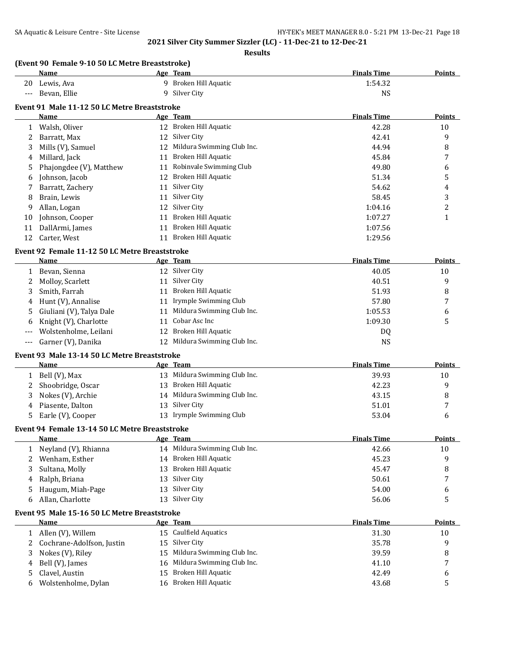|              | SA Aquatic & Leisure Centre - Site License                    |          |                                                                                 | HY-TEK's MEET MANAGER 8.0 - 5:21 PM 13-Dec-21 Page 18 |                  |
|--------------|---------------------------------------------------------------|----------|---------------------------------------------------------------------------------|-------------------------------------------------------|------------------|
|              |                                                               |          | 2021 Silver City Summer Sizzler (LC) - 11-Dec-21 to 12-Dec-21<br><b>Results</b> |                                                       |                  |
|              | (Event 90 Female 9-10 50 LC Metre Breaststroke)               |          |                                                                                 |                                                       |                  |
|              | Name                                                          |          | Age Team                                                                        | <b>Finals Time</b>                                    | <b>Points</b>    |
|              | 20 Lewis, Ava                                                 |          | 9 Broken Hill Aquatic                                                           | 1:54.32                                               |                  |
|              | Bevan, Ellie                                                  |          | 9 Silver City                                                                   | <b>NS</b>                                             |                  |
|              | Event 91 Male 11-12 50 LC Metre Breaststroke                  |          |                                                                                 |                                                       |                  |
|              | Name                                                          |          | Age Team                                                                        | <b>Finals Time</b>                                    | Points           |
|              | 1 Walsh, Oliver                                               |          | 12 Broken Hill Aquatic                                                          | 42.28                                                 | 10               |
| 2            | Barratt, Max                                                  |          | 12 Silver City                                                                  | 42.41                                                 | 9                |
| 3            | Mills (V), Samuel                                             |          | 12 Mildura Swimming Club Inc.                                                   | 44.94                                                 | 8                |
| 4            | Millard, Jack                                                 | 11       | Broken Hill Aquatic                                                             | 45.84                                                 | 7                |
| 5            | Phajongdee (V), Matthew                                       |          | 11 Robinvale Swimming Club                                                      | 49.80                                                 | 6                |
| 6            | Johnson, Jacob                                                |          | 12 Broken Hill Aquatic                                                          | 51.34                                                 | 5                |
| 7            | Barratt, Zachery                                              | 11       | Silver City                                                                     | 54.62                                                 | 4                |
| 8            | Brain, Lewis                                                  | 11       | Silver City                                                                     | 58.45                                                 | 3                |
| 9            | Allan, Logan                                                  | 12       | Silver City                                                                     | 1:04.16                                               | $\overline{c}$   |
| 10           | Johnson, Cooper                                               | 11       | Broken Hill Aquatic                                                             | 1:07.27                                               | 1                |
| 11           | DallArmi, James                                               | 11       | Broken Hill Aquatic                                                             | 1:07.56                                               |                  |
| 12           | Carter, West                                                  |          | 11 Broken Hill Aquatic                                                          | 1:29.56                                               |                  |
|              | Event 92 Female 11-12 50 LC Metre Breaststroke                |          |                                                                                 |                                                       |                  |
|              | Name                                                          |          | Age Team                                                                        | <b>Finals Time</b>                                    | Points           |
|              | 1 Bevan, Sienna                                               |          | 12 Silver City                                                                  | 40.05                                                 | 10               |
| 2            | Molloy, Scarlett                                              |          | 11 Silver City                                                                  | 40.51                                                 | 9                |
| 3            | Smith, Farrah                                                 |          | 11 Broken Hill Aquatic                                                          | 51.93                                                 | 8                |
| 4            | Hunt (V), Annalise                                            |          | 11 Irymple Swimming Club                                                        | 57.80                                                 | 7                |
| 5            | Giuliani (V), Talya Dale                                      |          | 11 Mildura Swimming Club Inc.                                                   | 1:05.53                                               | 6                |
| 6            | Knight (V), Charlotte                                         | 11       | Cobar Asc Inc                                                                   | 1:09.30                                               | 5                |
| $---$        | Wolstenholme, Leilani                                         |          | 12 Broken Hill Aquatic                                                          | DQ                                                    |                  |
| $---$        | Garner (V), Danika                                            |          | 12 Mildura Swimming Club Inc.                                                   | <b>NS</b>                                             |                  |
|              |                                                               |          |                                                                                 |                                                       |                  |
|              | Event 93 Male 13-14 50 LC Metre Breaststroke<br><b>Name</b>   |          | Age Team                                                                        | <b>Finals Time</b>                                    | <b>Points</b>    |
| 1            | Bell (V), Max                                                 |          | 13 Mildura Swimming Club Inc.                                                   | 39.93                                                 | 10               |
|              | Shoobridge, Oscar                                             |          | 13 Broken Hill Aquatic                                                          | 42.23                                                 | 9                |
|              | 3 Nokes (V), Archie                                           |          | 14 Mildura Swimming Club Inc.                                                   | 43.15                                                 | $\, 8$           |
| 4            | Piasente, Dalton                                              |          | 13 Silver City                                                                  | 51.01                                                 | $\boldsymbol{7}$ |
| 5            | Earle (V), Cooper                                             |          | 13 Irymple Swimming Club                                                        | 53.04                                                 | 6                |
|              |                                                               |          |                                                                                 |                                                       |                  |
|              | Event 94 Female 13-14 50 LC Metre Breaststroke<br><b>Name</b> |          |                                                                                 |                                                       |                  |
|              |                                                               |          | Age Team<br>14 Mildura Swimming Club Inc.                                       | <b>Finals Time</b>                                    | <b>Points</b>    |
| $\mathbf{1}$ | Neyland (V), Rhianna                                          |          | 14 Broken Hill Aquatic                                                          | 42.66                                                 | 10               |
| 2            | Wenham, Esther                                                |          | Broken Hill Aquatic                                                             | 45.23                                                 | 9                |
| 3            | Sultana, Molly                                                | 13<br>13 | Silver City                                                                     | 45.47                                                 | 8                |
| 4            | Ralph, Briana<br>Haugum, Miah-Page                            | 13       | Silver City                                                                     | 50.61<br>54.00                                        | 7                |
| 5<br>6       | Allan, Charlotte                                              | 13       | Silver City                                                                     | 56.06                                                 | 6<br>5           |
|              |                                                               |          |                                                                                 |                                                       |                  |
|              | Event 95 Male 15-16 50 LC Metre Breaststroke                  |          |                                                                                 |                                                       |                  |
|              | <b>Name</b>                                                   |          | Age Team                                                                        | <b>Finals Time</b>                                    | <b>Points</b>    |
|              | 1 Allen (V), Willem                                           |          | 15 Caulfield Aquatics                                                           | 31.30                                                 | 10               |
| 2            | Cochrane-Adolfson, Justin                                     | 15       | Silver City                                                                     | 35.78                                                 | 9                |
| 3            | Nokes (V), Riley                                              | 15       | Mildura Swimming Club Inc.                                                      | 39.59                                                 | 8                |
| 4            | Bell (V), James                                               | 16       | Mildura Swimming Club Inc.                                                      | 41.10                                                 | 7                |
| 5            | Clavel, Austin                                                |          | 15 Broken Hill Aquatic                                                          | 42.49                                                 | 6                |
| 6            | Wolstenholme, Dylan                                           |          | 16 Broken Hill Aquatic                                                          | 43.68                                                 | 5                |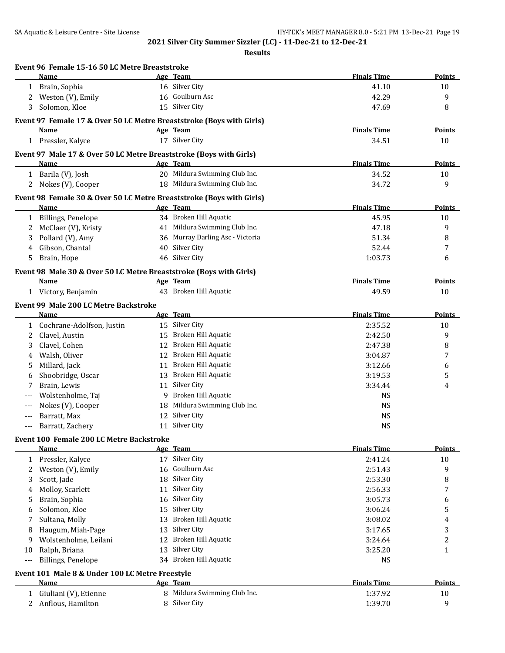|       | Event 96 Female 15-16 50 LC Metre Breaststroke                       |    |                                  |                    |               |
|-------|----------------------------------------------------------------------|----|----------------------------------|--------------------|---------------|
|       | Name                                                                 |    | Age Team                         | <b>Finals Time</b> | Points        |
| 1     | Brain, Sophia                                                        |    | 16 Silver City                   | 41.10              | 10            |
| 2     | Weston (V), Emily                                                    |    | 16 Goulburn Asc                  | 42.29              | 9             |
| 3     | Solomon, Kloe                                                        |    | 15 Silver City                   | 47.69              | 8             |
|       | Event 97 Female 17 & Over 50 LC Metre Breaststroke (Boys with Girls) |    |                                  |                    |               |
|       | Name                                                                 |    | Age Team                         | <b>Finals Time</b> | Points        |
|       | 1 Pressler, Kalyce                                                   |    | 17 Silver City                   | 34.51              | 10            |
|       | Event 97 Male 17 & Over 50 LC Metre Breaststroke (Boys with Girls)   |    |                                  |                    |               |
|       | <b>Name</b>                                                          |    | Age Team                         | <b>Finals Time</b> | <b>Points</b> |
|       | 1 Barila (V), Josh                                                   |    | 20 Mildura Swimming Club Inc.    | 34.52              | 10            |
| 2     | Nokes (V), Cooper                                                    |    | 18 Mildura Swimming Club Inc.    | 34.72              | 9             |
|       | Event 98 Female 30 & Over 50 LC Metre Breaststroke (Boys with Girls) |    |                                  |                    |               |
|       | Name                                                                 |    | Age Team                         | <b>Finals Time</b> | <b>Points</b> |
| 1     | <b>Billings, Penelope</b>                                            |    | 34 Broken Hill Aquatic           | 45.95              | 10            |
| 2     | McClaer (V), Kristy                                                  |    | 41 Mildura Swimming Club Inc.    | 47.18              | 9             |
| 3     | Pollard (V), Amy                                                     |    | 36 Murray Darling Asc - Victoria | 51.34              | 8             |
| 4     | Gibson, Chantal                                                      |    | 40 Silver City                   | 52.44              | 7             |
| 5     | Brain, Hope                                                          |    | 46 Silver City                   | 1:03.73            | 6             |
|       | Event 98 Male 30 & Over 50 LC Metre Breaststroke (Boys with Girls)   |    |                                  |                    |               |
|       | Name                                                                 |    | Age Team                         | <b>Finals Time</b> | Points        |
|       | 1 Victory, Benjamin                                                  |    | 43 Broken Hill Aquatic           | 49.59              | 10            |
|       | Event 99 Male 200 LC Metre Backstroke<br>Name                        |    | Age Team                         | <b>Finals Time</b> | <b>Points</b> |
| 1     | Cochrane-Adolfson, Justin                                            |    | 15 Silver City                   | 2:35.52            | 10            |
| 2     | Clavel, Austin                                                       | 15 | Broken Hill Aquatic              | 2:42.50            | 9             |
| 3     | Clavel, Cohen                                                        | 12 | Broken Hill Aquatic              | 2:47.38            | 8             |
| 4     | Walsh, Oliver                                                        | 12 | Broken Hill Aquatic              | 3:04.87            | 7             |
| 5     | Millard, Jack                                                        | 11 | Broken Hill Aquatic              | 3:12.66            | 6             |
| 6     | Shoobridge, Oscar                                                    |    | 13 Broken Hill Aquatic           | 3:19.53            | 5             |
|       | Brain, Lewis                                                         | 11 | Silver City                      | 3:34.44            | 4             |
|       | Wolstenholme, Taj                                                    |    | 9 Broken Hill Aquatic            | <b>NS</b>          |               |
| ---   | Nokes (V), Cooper                                                    |    | 18 Mildura Swimming Club Inc.    | <b>NS</b>          |               |
|       | Barratt, Max                                                         |    | 12 Silver City                   | <b>NS</b>          |               |
| ---   | Barratt, Zachery                                                     |    | 11 Silver City                   | <b>NS</b>          |               |
|       |                                                                      |    |                                  |                    |               |
|       | Event 100 Female 200 LC Metre Backstroke<br>Name                     |    | Age Team                         | <b>Finals Time</b> | <b>Points</b> |
| 1     | Pressler, Kalyce                                                     |    | 17 Silver City                   | 2:41.24            | 10            |
| 2     | Weston (V), Emily                                                    | 16 | Goulburn Asc                     | 2:51.43            | 9             |
| 3     | Scott, Jade                                                          |    | 18 Silver City                   | 2:53.30            | 8             |
| 4     | Molloy, Scarlett                                                     | 11 | Silver City                      | 2:56.33            | 7             |
| 5     | Brain, Sophia                                                        |    | 16 Silver City                   | 3:05.73            | 6             |
| 6     | Solomon, Kloe                                                        | 15 | Silver City                      | 3:06.24            | 5             |
| 7     | Sultana, Molly                                                       |    | 13 Broken Hill Aquatic           | 3:08.02            | 4             |
| 8     | Haugum, Miah-Page                                                    | 13 | Silver City                      | 3:17.65            | 3             |
| 9     | Wolstenholme, Leilani                                                | 12 | Broken Hill Aquatic              | 3:24.64            | 2             |
| 10    | Ralph, Briana                                                        |    | 13 Silver City                   | 3:25.20            | 1             |
| $---$ | Billings, Penelope                                                   |    | 34 Broken Hill Aquatic           | <b>NS</b>          |               |
|       | Event 101 Male 8 & Under 100 LC Metre Freestyle                      |    |                                  |                    |               |
|       | Name                                                                 |    | Age Team                         | <b>Finals Time</b> | <b>Points</b> |
| 1     | Giuliani (V), Etienne                                                |    | 8 Mildura Swimming Club Inc.     | 1:37.92            | 10            |
| 2     | Anflous, Hamilton                                                    |    | 8 Silver City                    | 1:39.70            | 9             |
|       |                                                                      |    |                                  |                    |               |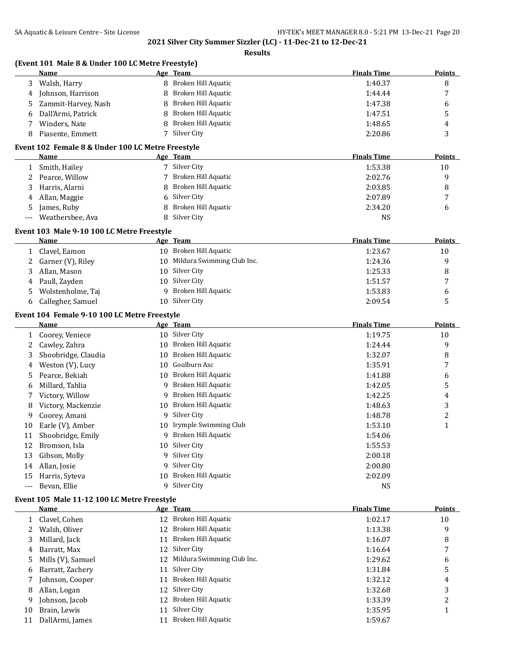|                     | (Event 101 Male 8 & Under 100 LC Metre Freestyle)<br><b>Name</b> |                        | Age Team                           | <b>Finals Time</b> | <b>Points</b>  |
|---------------------|------------------------------------------------------------------|------------------------|------------------------------------|--------------------|----------------|
| 3                   | Walsh, Harry                                                     | 8                      | Broken Hill Aquatic                | 1:40.37            | 8              |
| 4                   | Johnson, Harrison                                                | 8                      | Broken Hill Aquatic                | 1:44.44            | 7              |
| 5                   | Zammit-Harvey, Nash                                              | 8                      | Broken Hill Aquatic                | 1:47.38            | 6              |
| 6                   | Dall'Armi, Patrick                                               | 8                      | Broken Hill Aquatic                | 1:47.51            | 5              |
| 7                   | Winders, Nate                                                    |                        | Broken Hill Aquatic                | 1:48.65            | 4              |
| 8                   | Piasente, Emmett                                                 |                        | 7 Silver City                      | 2:20.86            | 3              |
|                     |                                                                  |                        |                                    |                    |                |
|                     | Event 102 Female 8 & Under 100 LC Metre Freestyle<br>Name        |                        | Age Team                           | <b>Finals Time</b> | Points         |
| 1                   | Smith, Hailey                                                    |                        | 7 Silver City                      | 1:53.38            | 10             |
| 2                   | Pearce, Willow                                                   |                        | Broken Hill Aquatic                | 2:02.76            | 9              |
| 3                   | Harris, Alarni                                                   | 8                      | Broken Hill Aquatic                | 2:03.85            | 8              |
| 4                   | Allan, Maggie                                                    | 6                      | Silver City                        | 2:07.89            | 7              |
| 5                   | James, Ruby                                                      |                        | Broken Hill Aquatic                | 2:34.20            | 6              |
| $---$               | Weathersbee, Ava                                                 | 8                      | Silver City                        | <b>NS</b>          |                |
|                     |                                                                  |                        |                                    |                    |                |
|                     | Event 103 Male 9-10 100 LC Metre Freestyle                       |                        |                                    | <b>Finals Time</b> | Points         |
|                     | Name<br>Clavel, Eamon                                            |                        | Age Team<br>10 Broken Hill Aquatic | 1:23.67            |                |
| 1                   | Garner (V), Riley                                                |                        | Mildura Swimming Club Inc.         |                    | 10             |
| 2                   |                                                                  | 10                     |                                    | 1:24.36            | 9              |
| 3                   | Allan, Mason                                                     | 10                     | Silver City                        | 1:25.33            | 8              |
| 4                   | Paull, Zayden                                                    | 10                     | Silver City                        | 1:51.57            | 7              |
| 5                   | Wolstenholme, Taj                                                | 9                      | Broken Hill Aquatic                | 1:53.83            | 6              |
| 6                   | Callegher, Samuel                                                |                        | 10 Silver City                     | 2:09.54            | 5              |
|                     | Event 104 Female 9-10 100 LC Metre Freestyle                     |                        |                                    |                    |                |
|                     | Name                                                             |                        | Age Team                           | <b>Finals Time</b> | <b>Points</b>  |
| $\mathbf{1}$        | Coorey, Veniece                                                  |                        | 10 Silver City                     | 1:19.75            | 10             |
| 2                   | Cawley, Zahra                                                    | 10                     | Broken Hill Aquatic                | 1:24.44            | 9              |
| 3                   | Shoobridge, Claudia                                              | 10                     | Broken Hill Aquatic                | 1:32.07            | 8              |
| 4                   | Weston (V), Lucy                                                 | 10                     | Goulburn Asc                       | 1:35.91            | 7              |
| 5                   | Pearce, Bekiah                                                   | 10                     | Broken Hill Aquatic                | 1:41.88            | 6              |
| 6                   | Millard, Tahlia                                                  | 9                      | Broken Hill Aquatic                | 1:42.05            | 5              |
| 7                   | Victory, Willow                                                  | 9                      | Broken Hill Aquatic                | 1:42.25            | 4              |
| 8                   | Victory, Mackenzie                                               | 10                     | Broken Hill Aquatic                | 1:48.63            | 3              |
| 9                   | Coorey, Amani                                                    | 9                      | Silver City                        | 1:48.78            | $\overline{2}$ |
| 10                  | Earle (V), Amber                                                 |                        | 10 Irymple Swimming Club           | 1:53.10            | $\mathbf{1}$   |
| 11                  | Shoobridge, Emily                                                |                        | 9 Broken Hill Aquatic              | 1:54.06            |                |
| 12                  | Bromson, Isla                                                    |                        | 10 Silver City                     | 1:55.53            |                |
| 13                  | Gibson, Molly                                                    | 9                      | Silver City                        | 2:00.18            |                |
| 14                  | Allan, Josie                                                     | 9                      | Silver City                        | 2:00.80            |                |
| 15                  | Harris, Syteva                                                   | 10                     | Broken Hill Aquatic                | 2:02.09            |                |
| $\qquad \qquad - -$ | Bevan, Ellie                                                     | 9                      | Silver City                        | <b>NS</b>          |                |
|                     | Event 105 Male 11-12 100 LC Metre Freestyle                      |                        |                                    |                    |                |
|                     | <u>Name</u>                                                      |                        | Age Team                           | <b>Finals Time</b> | <b>Points</b>  |
|                     | 1 Clavel, Cohen                                                  |                        | 12 Broken Hill Aquatic             | 1:02.17            | 10             |
| 2                   | Walsh, Oliver                                                    |                        | 12 Broken Hill Aquatic             | 1:13.38            | 9              |
| 3                   | Millard, Jack                                                    |                        | 11 Broken Hill Aquatic             | 1:16.07            | 8              |
| 4                   | Barratt, Max                                                     |                        | 12 Silver City                     | 1:16.64            | 7              |
| 5                   | Mills (V), Samuel                                                |                        | 12 Mildura Swimming Club Inc.      | 1:29.62            | 6              |
| 6                   | Barratt, Zachery                                                 |                        | 11 Silver City                     | 1:31.84            | 5              |
| 7                   | Johnson, Cooper                                                  |                        | 11 Broken Hill Aquatic             | 1:32.12            | 4              |
| 8                   | Allan, Logan                                                     |                        | 12 Silver City                     | 1:32.68            | 3              |
| 9                   | Johnson, Jacob                                                   |                        | 12 Broken Hill Aquatic             | 1:33.39            | 2              |
| 10                  | Brain, Lewis                                                     |                        | 11 Silver City                     | 1:35.95            | $\mathbf{1}$   |
|                     |                                                                  | 11 Broken Hill Aquatic |                                    |                    |                |